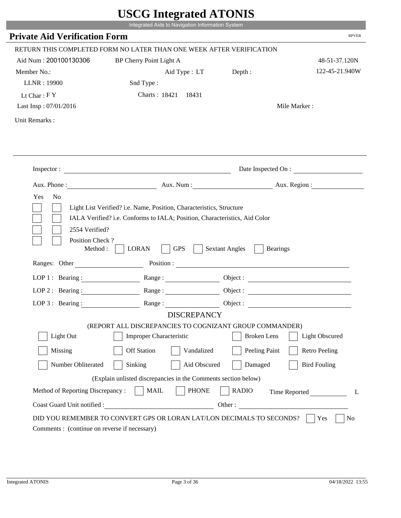|                                               | USUU miegrateu ATUNIS<br>Integrated Aids to Navigation Information System                                                                                                                                                                                    |                                          |                       |
|-----------------------------------------------|--------------------------------------------------------------------------------------------------------------------------------------------------------------------------------------------------------------------------------------------------------------|------------------------------------------|-----------------------|
| <b>Private Aid Verification Form</b>          |                                                                                                                                                                                                                                                              |                                          | <b>RPVER</b>          |
|                                               | RETURN THIS COMPLETED FORM NO LATER THAN ONE WEEK AFTER VERIFICATION                                                                                                                                                                                         |                                          |                       |
| Aid Num: 200100130306                         | BP Cherry Point Light A                                                                                                                                                                                                                                      |                                          | 48-51-37.120N         |
| Member No.:                                   | Aid Type : LT                                                                                                                                                                                                                                                | Depth:                                   | 122-45-21.940W        |
| LLNR: 19900                                   | Snd Type:                                                                                                                                                                                                                                                    |                                          |                       |
| Lt Char: $FY$                                 | Charts: 18421 18431                                                                                                                                                                                                                                          |                                          |                       |
| Last Insp: 07/01/2016                         |                                                                                                                                                                                                                                                              |                                          | Mile Marker:          |
| Unit Remarks:                                 |                                                                                                                                                                                                                                                              |                                          |                       |
|                                               |                                                                                                                                                                                                                                                              |                                          |                       |
|                                               | Inspector: $\qquad \qquad$                                                                                                                                                                                                                                   |                                          | Date Inspected On :   |
|                                               |                                                                                                                                                                                                                                                              |                                          |                       |
| Position Check?<br>Method :                   | <b>LORAN</b><br><b>GPS</b><br>Ranges: Other Position : Position : 2000 Position : 2000 Position : 2000 Position : 2000 Position : 2000 Position : 2000 Position : 2000 Position : 2000 Position : 2000 Position : 2000 Position : 2000 Position : 2000 Posit | <b>Sextant Angles</b><br><b>Bearings</b> |                       |
|                                               | LOP 1: Bearing: Range:                                                                                                                                                                                                                                       |                                          |                       |
| LOP $2:$ Bearing :                            |                                                                                                                                                                                                                                                              |                                          |                       |
| LOP $3$ : Bearing :                           | Range:                                                                                                                                                                                                                                                       | Object :                                 |                       |
|                                               | <b>DISCREPANCY</b>                                                                                                                                                                                                                                           |                                          |                       |
|                                               | (REPORT ALL DISCREPANCIES TO COGNIZANT GROUP COMMANDER)                                                                                                                                                                                                      |                                          |                       |
| Light Out                                     | <b>Improper Characteristic</b>                                                                                                                                                                                                                               | <b>Broken</b> Lens                       | <b>Light Obscured</b> |
| Missing                                       | <b>Off Station</b><br>Vandalized                                                                                                                                                                                                                             | Peeling Paint                            | <b>Retro Peeling</b>  |
| Number Obliterated                            | Sinking<br>Aid Obscured                                                                                                                                                                                                                                      | Damaged                                  | <b>Bird Fouling</b>   |
|                                               | (Explain unlisted discrepancies in the Comments section below)                                                                                                                                                                                               |                                          |                       |
| Method of Reporting Discrepancy:              | <b>MAIL</b><br><b>PHONE</b>                                                                                                                                                                                                                                  | <b>RADIO</b>                             | Time Reported<br>L    |
| Coast Guard Unit notified :                   | <u> 1990 - Johann Barbara, martin a</u>                                                                                                                                                                                                                      | Other:                                   |                       |
| Comments : (continue on reverse if necessary) | DID YOU REMEMBER TO CONVERT GPS OR LORAN LAT/LON DECIMALS TO SECONDS?                                                                                                                                                                                        |                                          | Yes<br>N <sub>0</sub> |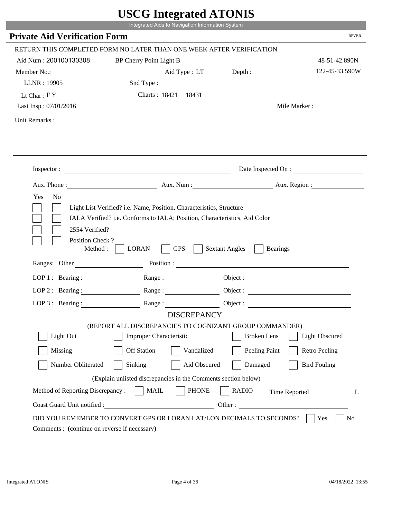|                                                          | USUU IIItegrateu ATUNIS<br>Integrated Aids to Navigation Information System |                                                                      |                       |
|----------------------------------------------------------|-----------------------------------------------------------------------------|----------------------------------------------------------------------|-----------------------|
| <b>Private Aid Verification Form</b>                     |                                                                             |                                                                      | <b>RPVER</b>          |
|                                                          | RETURN THIS COMPLETED FORM NO LATER THAN ONE WEEK AFTER VERIFICATION        |                                                                      |                       |
| Aid Num: 200100130308                                    | BP Cherry Point Light B                                                     |                                                                      | 48-51-42.890N         |
| Member No.:                                              |                                                                             | Aid Type : LT Depth :                                                | 122-45-33.590W        |
| LLNR: 19905                                              | Snd Type:                                                                   |                                                                      |                       |
| Lt Char: $FY$                                            | Charts: 18421 18431                                                         |                                                                      |                       |
| Last Insp: 07/01/2016                                    |                                                                             |                                                                      | Mile Marker:          |
| Unit Remarks:                                            |                                                                             |                                                                      |                       |
|                                                          |                                                                             |                                                                      |                       |
|                                                          |                                                                             |                                                                      |                       |
|                                                          | Inspector: $\qquad \qquad$                                                  |                                                                      | Date Inspected On :   |
|                                                          | Aux. Phone : Aux. Num : Aux. Num : Aux. Num : Aux. Region :                 |                                                                      |                       |
| 2554 Verified?<br>Position Check?                        | IALA Verified? i.e. Conforms to IALA; Position, Characteristics, Aid Color  | Light List Verified? i.e. Name, Position, Characteristics, Structure |                       |
| Method:<br>Ranges: Other                                 | <b>LORAN</b><br><b>GPS</b>                                                  | <b>Sextant Angles</b><br><b>Bearings</b>                             |                       |
|                                                          |                                                                             | Position :                                                           |                       |
| LOP 1 : Bearing : $\qquad \qquad$<br>$LOP$ 2 : Bearing : |                                                                             |                                                                      |                       |
|                                                          | $\mathbf{Range} : \underline{\hspace{1cm}} \qquad \qquad \qquad \qquad$     |                                                                      |                       |
| LOP $3:$ Bearing :                                       | Range:<br><b>DISCREPANCY</b>                                                | Object :                                                             |                       |
|                                                          | (REPORT ALL DISCREPANCIES TO COGNIZANT GROUP COMMANDER)                     |                                                                      |                       |
| Light Out                                                | <b>Improper Characteristic</b>                                              | <b>Broken</b> Lens                                                   | <b>Light Obscured</b> |
| Missing                                                  | <b>Off Station</b><br>Vandalized                                            | Peeling Paint                                                        | <b>Retro Peeling</b>  |
| Number Obliterated                                       | Sinking<br>Aid Obscured                                                     | Damaged                                                              | <b>Bird Fouling</b>   |
|                                                          | (Explain unlisted discrepancies in the Comments section below)              |                                                                      |                       |
| Method of Reporting Discrepancy:                         | <b>PHONE</b><br><b>MAIL</b>                                                 | <b>RADIO</b>                                                         | Time Reported<br>L    |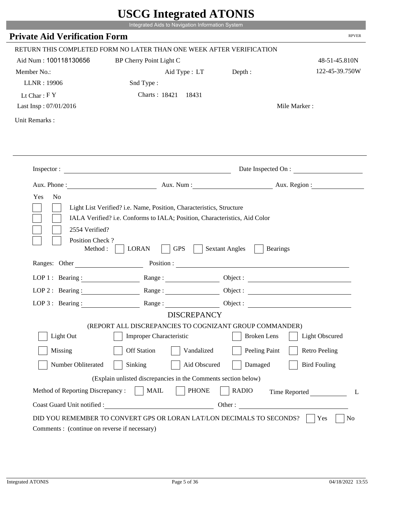|                                               | USUU miegrateu ATUNIS<br>Integrated Aids to Navigation Information System                                                                                                                                                                                    |                                          |                                                                                                                       |
|-----------------------------------------------|--------------------------------------------------------------------------------------------------------------------------------------------------------------------------------------------------------------------------------------------------------------|------------------------------------------|-----------------------------------------------------------------------------------------------------------------------|
| <b>Private Aid Verification Form</b>          |                                                                                                                                                                                                                                                              |                                          | <b>RPVER</b>                                                                                                          |
|                                               | RETURN THIS COMPLETED FORM NO LATER THAN ONE WEEK AFTER VERIFICATION                                                                                                                                                                                         |                                          |                                                                                                                       |
| Aid Num: 100118130656                         | BP Cherry Point Light C                                                                                                                                                                                                                                      |                                          | 48-51-45.810N                                                                                                         |
| Member No.:                                   | Aid Type : LT                                                                                                                                                                                                                                                | Depth:                                   | 122-45-39.750W                                                                                                        |
| LLNR: 19906                                   | Snd Type:                                                                                                                                                                                                                                                    |                                          |                                                                                                                       |
| Lt Char: $FY$                                 | Charts: 18421 18431                                                                                                                                                                                                                                          |                                          |                                                                                                                       |
| Last Insp: 07/01/2016                         |                                                                                                                                                                                                                                                              |                                          | Mile Marker:                                                                                                          |
| Unit Remarks:                                 |                                                                                                                                                                                                                                                              |                                          |                                                                                                                       |
|                                               |                                                                                                                                                                                                                                                              |                                          |                                                                                                                       |
|                                               | Inspector: $\qquad \qquad$                                                                                                                                                                                                                                   |                                          | Date Inspected On :                                                                                                   |
|                                               |                                                                                                                                                                                                                                                              |                                          |                                                                                                                       |
| Position Check?<br>Method :                   | <b>LORAN</b><br><b>GPS</b><br>Ranges: Other Position : Position : 2000 Position : 2000 Position : 2000 Position : 2000 Position : 2000 Position : 2000 Position : 2000 Position : 2000 Position : 2000 Position : 2000 Position : 2000 Position : 2000 Posit | <b>Sextant Angles</b><br><b>Bearings</b> |                                                                                                                       |
|                                               | LOP 1: Bearing : $\qquad \qquad$ Range :                                                                                                                                                                                                                     |                                          |                                                                                                                       |
| LOP $2:$ Bearing :                            |                                                                                                                                                                                                                                                              |                                          |                                                                                                                       |
| LOP $3$ : Bearing:                            | Range:                                                                                                                                                                                                                                                       | Object :                                 | <u> 1989 - Johann Barn, mars ann an t-Amhair an t-Amhair an t-Amhair an t-Amhair an t-Amhair an t-Amhair an t-Amh</u> |
|                                               | <b>DISCREPANCY</b>                                                                                                                                                                                                                                           |                                          |                                                                                                                       |
|                                               | (REPORT ALL DISCREPANCIES TO COGNIZANT GROUP COMMANDER)                                                                                                                                                                                                      |                                          |                                                                                                                       |
| Light Out                                     | <b>Improper Characteristic</b>                                                                                                                                                                                                                               | <b>Broken</b> Lens                       | <b>Light Obscured</b>                                                                                                 |
| Missing                                       | <b>Off Station</b><br>Vandalized                                                                                                                                                                                                                             | Peeling Paint                            | <b>Retro Peeling</b>                                                                                                  |
| Number Obliterated                            | Sinking<br>Aid Obscured                                                                                                                                                                                                                                      | Damaged                                  | <b>Bird Fouling</b>                                                                                                   |
|                                               | (Explain unlisted discrepancies in the Comments section below)                                                                                                                                                                                               |                                          |                                                                                                                       |
| Method of Reporting Discrepancy:              | <b>MAIL</b><br><b>PHONE</b>                                                                                                                                                                                                                                  | <b>RADIO</b>                             | Time Reported<br>L                                                                                                    |
| Coast Guard Unit notified :                   | <u> 1990 - Johann Barbara, martin a</u>                                                                                                                                                                                                                      | Other:                                   |                                                                                                                       |
| Comments : (continue on reverse if necessary) | DID YOU REMEMBER TO CONVERT GPS OR LORAN LAT/LON DECIMALS TO SECONDS?                                                                                                                                                                                        |                                          | Yes<br>N <sub>0</sub>                                                                                                 |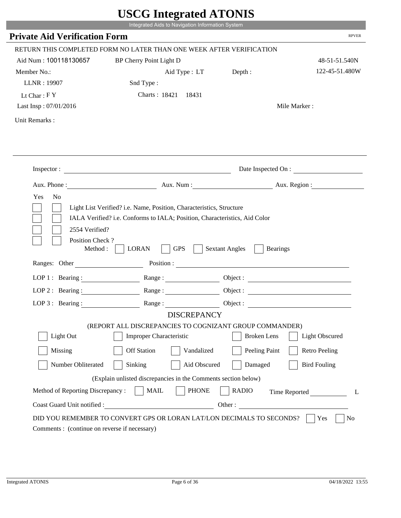|                                        | Integrated Aids to Navigation Information System                                                                                                                                                                               | USUU miegrateu ATUNIS                                                |                       |
|----------------------------------------|--------------------------------------------------------------------------------------------------------------------------------------------------------------------------------------------------------------------------------|----------------------------------------------------------------------|-----------------------|
| <b>Private Aid Verification Form</b>   |                                                                                                                                                                                                                                |                                                                      | <b>RPVER</b>          |
|                                        | RETURN THIS COMPLETED FORM NO LATER THAN ONE WEEK AFTER VERIFICATION                                                                                                                                                           |                                                                      |                       |
| Aid Num: 100118130657                  | BP Cherry Point Light D                                                                                                                                                                                                        |                                                                      | 48-51-51.540N         |
| Member No.:                            | Aid Type : LT                                                                                                                                                                                                                  | Depth :                                                              | 122-45-51.480W        |
| LLNR: 19907                            | Snd Type:                                                                                                                                                                                                                      |                                                                      |                       |
| Lt Char: $FY$                          | Charts: 18421 18431                                                                                                                                                                                                            |                                                                      |                       |
| Last Insp: 07/01/2016                  |                                                                                                                                                                                                                                |                                                                      | Mile Marker:          |
| Unit Remarks:                          |                                                                                                                                                                                                                                |                                                                      |                       |
|                                        |                                                                                                                                                                                                                                |                                                                      |                       |
|                                        | Inspector: $\qquad \qquad$                                                                                                                                                                                                     |                                                                      | Date Inspected On :   |
|                                        |                                                                                                                                                                                                                                |                                                                      |                       |
| 2554 Verified?                         | IALA Verified? i.e. Conforms to IALA; Position, Characteristics, Aid Color                                                                                                                                                     | Light List Verified? i.e. Name, Position, Characteristics, Structure |                       |
| Position Check?<br>Method :            | <b>LORAN</b><br><b>GPS</b>                                                                                                                                                                                                     | <b>Sextant Angles</b>                                                | <b>Bearings</b>       |
|                                        | Ranges: Other Position : Position : 2000 Position : 2000 Position : 2000 Position : 2000 Position : 2000 Position : 2000 Position : 2000 Position : 2000 Position : 2000 Position : 2000 Position : 2000 Position : 2000 Posit |                                                                      |                       |
|                                        | LOP 1: Bearing : $\qquad \qquad$ Range :                                                                                                                                                                                       |                                                                      |                       |
| LOP 2: Bearing :<br>LOP $3$ : Bearing: |                                                                                                                                                                                                                                | Object :                                                             |                       |
|                                        | Range:<br><b>DISCREPANCY</b>                                                                                                                                                                                                   |                                                                      |                       |
|                                        | (REPORT ALL DISCREPANCIES TO COGNIZANT GROUP COMMANDER)                                                                                                                                                                        |                                                                      |                       |
| Light Out                              | <b>Improper Characteristic</b>                                                                                                                                                                                                 | <b>Broken</b> Lens                                                   | <b>Light Obscured</b> |
| Missing                                | <b>Off Station</b><br>Vandalized                                                                                                                                                                                               | Peeling Paint                                                        | <b>Retro Peeling</b>  |
| Number Obliterated                     | Sinking<br>Aid Obscured                                                                                                                                                                                                        | Damaged                                                              | <b>Bird Fouling</b>   |
|                                        | (Explain unlisted discrepancies in the Comments section below)                                                                                                                                                                 |                                                                      |                       |
| Method of Reporting Discrepancy:       | <b>MAIL</b><br><b>PHONE</b>                                                                                                                                                                                                    | <b>RADIO</b>                                                         | Time Reported<br>L    |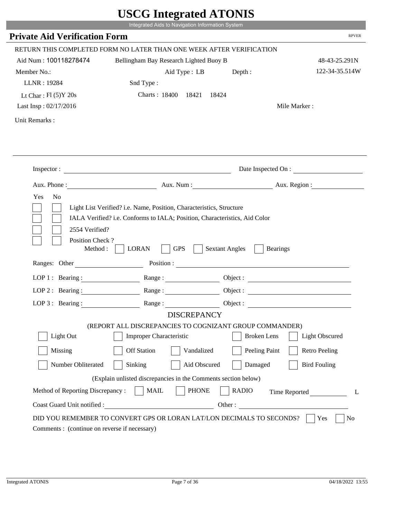|                                               | UDUU IIIIU ARUU ATUNID                                                                                                                                                                                                         |                       |                       |
|-----------------------------------------------|--------------------------------------------------------------------------------------------------------------------------------------------------------------------------------------------------------------------------------|-----------------------|-----------------------|
|                                               | Integrated Aids to Navigation Information System                                                                                                                                                                               |                       |                       |
| <b>Private Aid Verification Form</b>          |                                                                                                                                                                                                                                |                       | <b>RPVER</b>          |
|                                               | RETURN THIS COMPLETED FORM NO LATER THAN ONE WEEK AFTER VERIFICATION                                                                                                                                                           |                       |                       |
| Aid Num: 100118278474                         | Bellingham Bay Research Lighted Buoy B                                                                                                                                                                                         |                       | 48-43-25.291N         |
| Member No.:                                   | Aid Type : LB                                                                                                                                                                                                                  | Depth :               | 122-34-35.514W        |
| LLNR: 19284                                   | Snd Type:                                                                                                                                                                                                                      |                       |                       |
| Lt Char: $Fl(5)Y 20s$                         | Charts: 18400 18421                                                                                                                                                                                                            | 18424                 |                       |
| Last Insp: 02/17/2016                         |                                                                                                                                                                                                                                |                       | Mile Marker:          |
| Unit Remarks:                                 |                                                                                                                                                                                                                                |                       |                       |
|                                               |                                                                                                                                                                                                                                |                       |                       |
|                                               | Inspector:                                                                                                                                                                                                                     |                       | Date Inspected On :   |
|                                               |                                                                                                                                                                                                                                |                       |                       |
|                                               | IALA Verified? i.e. Conforms to IALA; Position, Characteristics, Aid Color                                                                                                                                                     |                       |                       |
| 2554 Verified?<br>Position Check?<br>Method : | <b>LORAN</b><br><b>GPS</b>                                                                                                                                                                                                     | <b>Sextant Angles</b> | <b>Bearings</b>       |
|                                               | Ranges: Other Position : Position : 2000 Position : 2000 Position : 2000 Position : 2000 Position : 2000 Position : 2000 Position : 2000 Position : 2000 Position : 2000 Position : 2000 Position : 2000 Position : 2000 Posit |                       |                       |
| LOP 1 : Bearing :                             |                                                                                                                                                                                                                                |                       | Object:               |
| $LOP$ 2 : Bearing :                           |                                                                                                                                                                                                                                |                       |                       |
| $LOP 3:$ Bearing :                            | Range:                                                                                                                                                                                                                         |                       | Object :              |
|                                               | <b>DISCREPANCY</b>                                                                                                                                                                                                             |                       |                       |
|                                               | (REPORT ALL DISCREPANCIES TO COGNIZANT GROUP COMMANDER)                                                                                                                                                                        |                       |                       |
| Light Out                                     | <b>Improper Characteristic</b>                                                                                                                                                                                                 | <b>Broken</b> Lens    | <b>Light Obscured</b> |
| Missing                                       | <b>Off Station</b><br>Vandalized                                                                                                                                                                                               | Peeling Paint         | <b>Retro Peeling</b>  |
| Number Obliterated                            | Aid Obscured<br>Sinking                                                                                                                                                                                                        | Damaged               | <b>Bird Fouling</b>   |
|                                               | (Explain unlisted discrepancies in the Comments section below)                                                                                                                                                                 |                       |                       |
| Method of Reporting Discrepancy:              | <b>PHONE</b><br><b>MAIL</b>                                                                                                                                                                                                    | <b>RADIO</b>          |                       |
| Coast Guard Unit notified :                   |                                                                                                                                                                                                                                | Other:                | Time Reported<br>L    |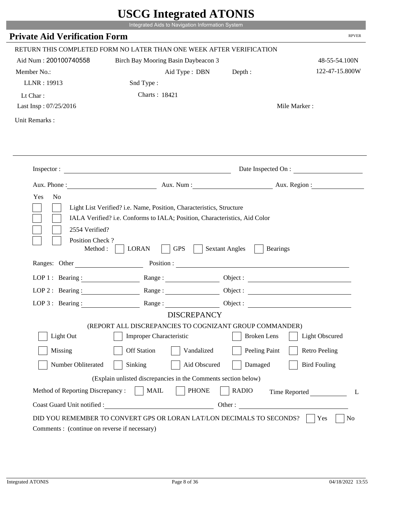|                                                                 | Integrated Aids to Navigation Information System                                                                                                   |                                                        | <b>RPVER</b>             |
|-----------------------------------------------------------------|----------------------------------------------------------------------------------------------------------------------------------------------------|--------------------------------------------------------|--------------------------|
| <b>Private Aid Verification Form</b>                            |                                                                                                                                                    |                                                        |                          |
|                                                                 | RETURN THIS COMPLETED FORM NO LATER THAN ONE WEEK AFTER VERIFICATION                                                                               |                                                        |                          |
| Aid Num: 200100740558                                           | Birch Bay Mooring Basin Daybeacon 3                                                                                                                |                                                        | 48-55-54.100N            |
| Member No.:                                                     | Aid Type: DBN                                                                                                                                      | Depth:                                                 | 122-47-15.800W           |
| LLNR: 19913                                                     | Snd Type:                                                                                                                                          |                                                        |                          |
| Lt Char:                                                        | Charts: 18421                                                                                                                                      |                                                        |                          |
| Last Insp: 07/25/2016                                           |                                                                                                                                                    |                                                        | Mile Marker:             |
| Unit Remarks:                                                   |                                                                                                                                                    |                                                        |                          |
|                                                                 |                                                                                                                                                    |                                                        |                          |
|                                                                 | Inspector:                                                                                                                                         |                                                        | Date Inspected On :      |
| Aux. Phone :                                                    |                                                                                                                                                    |                                                        | Aux. Num : Aux. Region : |
| N <sub>o</sub><br>Yes<br>2554 Verified?                         | Light List Verified? i.e. Name, Position, Characteristics, Structure<br>IALA Verified? i.e. Conforms to IALA; Position, Characteristics, Aid Color |                                                        |                          |
| Position Check?<br>Method :<br>Ranges: Other                    | <b>GPS</b><br><b>LORAN</b>                                                                                                                         | <b>Sextant Angles</b><br><b>Bearings</b><br>Position : |                          |
|                                                                 |                                                                                                                                                    |                                                        |                          |
| LOP 1 : Bearing :                                               | Range:                                                                                                                                             |                                                        |                          |
|                                                                 | LOP 2: Bearing: Range:                                                                                                                             |                                                        |                          |
| $LOP 3:$ Bearing :                                              | Range:                                                                                                                                             |                                                        | Object:                  |
|                                                                 | <b>DISCREPANCY</b><br>(REPORT ALL DISCREPANCIES TO COGNIZANT GROUP COMMANDER)                                                                      |                                                        |                          |
| Light Out                                                       | Improper Characteristic                                                                                                                            | <b>Broken</b> Lens                                     | <b>Light Obscured</b>    |
| Missing                                                         | <b>Off Station</b><br>Vandalized                                                                                                                   | Peeling Paint                                          | <b>Retro Peeling</b>     |
|                                                                 |                                                                                                                                                    |                                                        |                          |
| Number Obliterated                                              | Aid Obscured<br>Sinking                                                                                                                            | Damaged                                                | <b>Bird Fouling</b>      |
|                                                                 | (Explain unlisted discrepancies in the Comments section below)                                                                                     |                                                        |                          |
| Method of Reporting Discrepancy:<br>Coast Guard Unit notified : | <b>PHONE</b><br><b>MAIL</b><br>Other:                                                                                                              | <b>RADIO</b>                                           | Time Reported            |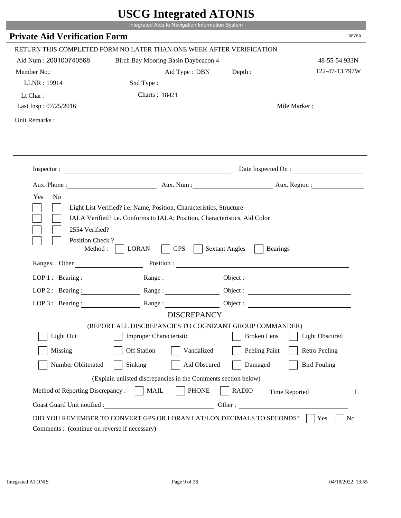|                                               | Integrated Aids to Navigation Information System                                                         |                                          |                       |
|-----------------------------------------------|----------------------------------------------------------------------------------------------------------|------------------------------------------|-----------------------|
| <b>Private Aid Verification Form</b>          |                                                                                                          |                                          | <b>RPVER</b>          |
|                                               | RETURN THIS COMPLETED FORM NO LATER THAN ONE WEEK AFTER VERIFICATION                                     |                                          |                       |
| Aid Num: 200100740568                         |                                                                                                          |                                          | 48-55-54.933N         |
|                                               | Birch Bay Mooring Basin Daybeacon 4                                                                      |                                          | 122-47-13.797W        |
| Member No.:                                   | Aid Type: DBN                                                                                            | Depth:                                   |                       |
| LLNR: 19914                                   | Snd Type:                                                                                                |                                          |                       |
| Lt Char:                                      | Charts: 18421                                                                                            |                                          |                       |
| Last Insp: 07/25/2016                         |                                                                                                          |                                          | Mile Marker:          |
| Unit Remarks:                                 |                                                                                                          |                                          |                       |
|                                               |                                                                                                          |                                          |                       |
|                                               |                                                                                                          |                                          |                       |
|                                               | Inspector:                                                                                               |                                          | Date Inspected On :   |
|                                               | Aux. Phone : Aux. Num : Aux. Num : Aux. Aux. Region :                                                    |                                          |                       |
| Yes<br>N <sub>o</sub>                         | Light List Verified? i.e. Name, Position, Characteristics, Structure                                     |                                          |                       |
| 2554 Verified?<br>Position Check?<br>Method : | IALA Verified? i.e. Conforms to IALA; Position, Characteristics, Aid Color<br><b>GPS</b><br><b>LORAN</b> | <b>Sextant Angles</b><br><b>Bearings</b> |                       |
| Ranges: Other                                 | Position :                                                                                               |                                          |                       |
| LOP 1 : Bearing :                             | Range:                                                                                                   |                                          |                       |
| $LOP$ 2 : Bearing :                           |                                                                                                          |                                          |                       |
|                                               | LOP 3: Bearing : $\qquad \qquad$ Range :                                                                 |                                          |                       |
|                                               | <b>DISCREPANCY</b>                                                                                       |                                          |                       |
| Light Out                                     | (REPORT ALL DISCREPANCIES TO COGNIZANT GROUP COMMANDER)<br>Improper Characteristic                       | <b>Broken</b> Lens                       | <b>Light Obscured</b> |
| Missing                                       | <b>Off Station</b><br>Vandalized                                                                         | Peeling Paint                            | <b>Retro Peeling</b>  |
| Number Obliterated                            | Sinking<br>Aid Obscured                                                                                  | Damaged                                  | <b>Bird Fouling</b>   |
|                                               | (Explain unlisted discrepancies in the Comments section below)                                           |                                          |                       |
| Method of Reporting Discrepancy:              | <b>MAIL</b><br><b>PHONE</b>                                                                              | <b>RADIO</b>                             |                       |
| Coast Guard Unit notified :                   |                                                                                                          | Other:                                   | Time Reported<br>L    |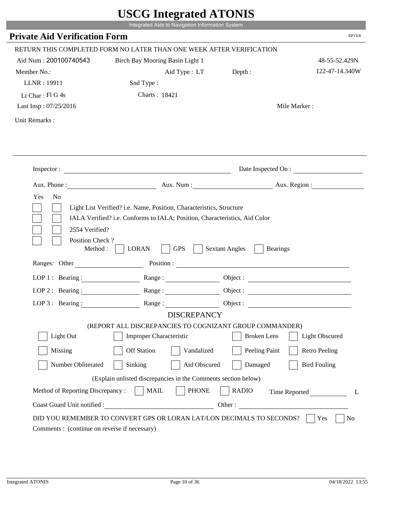|                                                                 | Integrated Aids to Navigation Information System                                                                                                   |                                                        |                       |
|-----------------------------------------------------------------|----------------------------------------------------------------------------------------------------------------------------------------------------|--------------------------------------------------------|-----------------------|
| <b>Private Aid Verification Form</b>                            |                                                                                                                                                    |                                                        | <b>RPVER</b>          |
|                                                                 | RETURN THIS COMPLETED FORM NO LATER THAN ONE WEEK AFTER VERIFICATION                                                                               |                                                        |                       |
| Aid Num: 200100740543                                           | Birch Bay Mooring Basin Light 1                                                                                                                    |                                                        | 48-55-52.429N         |
| Member No.:                                                     | Aid Type : LT                                                                                                                                      | Depth:                                                 | 122-47-14.340W        |
| LLNR: 19911                                                     | Snd Type:                                                                                                                                          |                                                        |                       |
| Lt Char: $FI$ G 4s                                              | Charts: 18421                                                                                                                                      |                                                        |                       |
| Last Insp: 07/25/2016                                           |                                                                                                                                                    |                                                        | Mile Marker:          |
| Unit Remarks:                                                   |                                                                                                                                                    |                                                        |                       |
|                                                                 |                                                                                                                                                    |                                                        |                       |
|                                                                 | Inspector:                                                                                                                                         |                                                        | Date Inspected On :   |
|                                                                 | Aux. Phone : Aux. Num : Aux. Num : Aux. Aux. Region :                                                                                              |                                                        |                       |
| 2554 Verified?                                                  | Light List Verified? i.e. Name, Position, Characteristics, Structure<br>IALA Verified? i.e. Conforms to IALA; Position, Characteristics, Aid Color |                                                        |                       |
| Position Check?<br>Method :<br>Ranges: Other                    | <b>GPS</b><br><b>LORAN</b>                                                                                                                         | <b>Sextant Angles</b><br><b>Bearings</b><br>Position : |                       |
|                                                                 |                                                                                                                                                    |                                                        |                       |
| LOP 1 : Bearing :                                               | Range:                                                                                                                                             |                                                        |                       |
| $LOP$ 2 : Bearing :                                             |                                                                                                                                                    |                                                        |                       |
|                                                                 | LOP 3: Bearing : $\qquad \qquad$ Range :                                                                                                           |                                                        |                       |
|                                                                 | <b>DISCREPANCY</b><br>(REPORT ALL DISCREPANCIES TO COGNIZANT GROUP COMMANDER)                                                                      |                                                        |                       |
| Light Out                                                       | Improper Characteristic                                                                                                                            | <b>Broken</b> Lens                                     | <b>Light Obscured</b> |
| Missing                                                         | <b>Off Station</b><br>Vandalized                                                                                                                   | Peeling Paint                                          | <b>Retro Peeling</b>  |
|                                                                 |                                                                                                                                                    |                                                        |                       |
| Number Obliterated                                              | Sinking<br>Aid Obscured                                                                                                                            | Damaged                                                | <b>Bird Fouling</b>   |
|                                                                 | (Explain unlisted discrepancies in the Comments section below)                                                                                     |                                                        |                       |
| Method of Reporting Discrepancy:<br>Coast Guard Unit notified : | <b>MAIL</b><br><b>PHONE</b>                                                                                                                        | <b>RADIO</b><br>Other:                                 | Time Reported<br>L    |

i i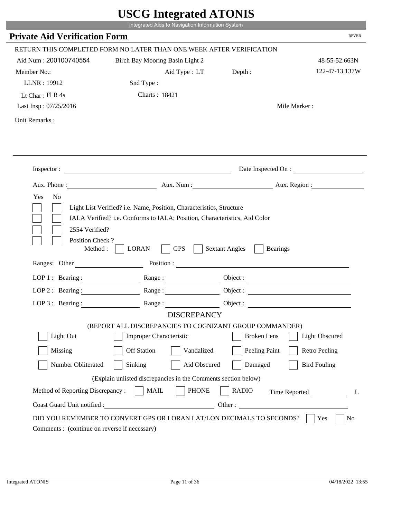|                                                                 | Integrated Aids to Navigation Information System                                                                                                   |                                          |                       |
|-----------------------------------------------------------------|----------------------------------------------------------------------------------------------------------------------------------------------------|------------------------------------------|-----------------------|
| <b>Private Aid Verification Form</b>                            |                                                                                                                                                    |                                          | <b>RPVER</b>          |
|                                                                 | RETURN THIS COMPLETED FORM NO LATER THAN ONE WEEK AFTER VERIFICATION                                                                               |                                          |                       |
| Aid Num: 200100740554                                           | Birch Bay Mooring Basin Light 2                                                                                                                    |                                          | 48-55-52.663N         |
| Member No.:                                                     | Aid Type : LT                                                                                                                                      | Depth :                                  | 122-47-13.137W        |
| LLNR: 19912                                                     | Snd Type:                                                                                                                                          |                                          |                       |
| Lt Char: $FI R 4s$                                              | Charts: 18421                                                                                                                                      |                                          |                       |
| Last Insp: 07/25/2016                                           |                                                                                                                                                    |                                          | Mile Marker:          |
| Unit Remarks:                                                   |                                                                                                                                                    |                                          |                       |
|                                                                 |                                                                                                                                                    |                                          |                       |
|                                                                 |                                                                                                                                                    |                                          | Date Inspected On :   |
|                                                                 | Aux. Phone : Aux. Num : Aux. Num : Aux. Num : Aux. Region :                                                                                        |                                          |                       |
| 2554 Verified?                                                  | Light List Verified? i.e. Name, Position, Characteristics, Structure<br>IALA Verified? i.e. Conforms to IALA; Position, Characteristics, Aid Color |                                          |                       |
| Position Check?<br>Method : $\vert$<br>Ranges: Other            | <b>LORAN</b><br><b>GPS</b>                                                                                                                         | <b>Sextant Angles</b><br><b>Bearings</b> |                       |
|                                                                 |                                                                                                                                                    |                                          |                       |
|                                                                 | LOP 1: Bearing: Range:                                                                                                                             |                                          |                       |
| LOP 2: Bearing:                                                 | Range:                                                                                                                                             |                                          |                       |
|                                                                 | LOP 3: Bearing: Range: Range: Object:                                                                                                              |                                          |                       |
|                                                                 | <b>DISCREPANCY</b><br>(REPORT ALL DISCREPANCIES TO COGNIZANT GROUP COMMANDER)                                                                      |                                          |                       |
| Light Out                                                       | Improper Characteristic                                                                                                                            | <b>Broken</b> Lens                       | <b>Light Obscured</b> |
| Missing                                                         | <b>Off Station</b><br>Vandalized                                                                                                                   | Peeling Paint                            | <b>Retro Peeling</b>  |
|                                                                 |                                                                                                                                                    |                                          |                       |
| Number Obliterated                                              | Sinking<br>Aid Obscured                                                                                                                            | Damaged                                  | <b>Bird Fouling</b>   |
|                                                                 | (Explain unlisted discrepancies in the Comments section below)                                                                                     |                                          |                       |
| Method of Reporting Discrepancy:<br>Coast Guard Unit notified : | <b>MAIL</b><br><b>PHONE</b><br><u> 1980 - Johann Barbara, martxa eta politikar</u>                                                                 | <b>RADIO</b><br>Other:                   | Time Reported<br>L    |

i i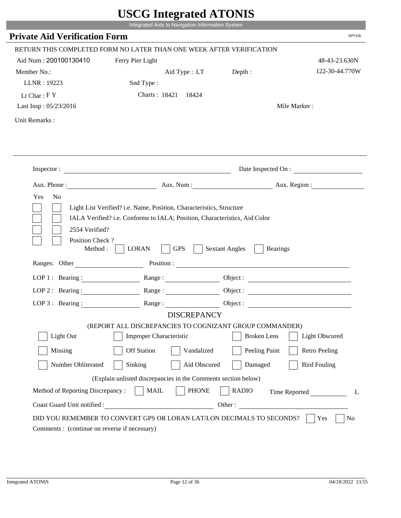|                                         | USUU miegrateu ATUNIS<br>Integrated Aids to Navigation Information System                                                                                                                                                      |                       |                       |
|-----------------------------------------|--------------------------------------------------------------------------------------------------------------------------------------------------------------------------------------------------------------------------------|-----------------------|-----------------------|
| <b>Private Aid Verification Form</b>    |                                                                                                                                                                                                                                |                       | <b>RPVER</b>          |
|                                         | RETURN THIS COMPLETED FORM NO LATER THAN ONE WEEK AFTER VERIFICATION                                                                                                                                                           |                       |                       |
| Aid Num: 200100130410                   | Ferry Pier Light                                                                                                                                                                                                               |                       | 48-43-23.630N         |
| Member No.:                             | Aid Type : LT                                                                                                                                                                                                                  | Depth :               | 122-30-44.770W        |
| LLNR: 19223                             | Snd Type:                                                                                                                                                                                                                      |                       |                       |
| Lt Char: $FY$                           | Charts: 18421 18424                                                                                                                                                                                                            |                       |                       |
| Last Insp: 05/23/2016                   |                                                                                                                                                                                                                                |                       | Mile Marker:          |
| Unit Remarks:                           |                                                                                                                                                                                                                                |                       |                       |
|                                         |                                                                                                                                                                                                                                |                       |                       |
|                                         |                                                                                                                                                                                                                                |                       |                       |
|                                         |                                                                                                                                                                                                                                |                       |                       |
|                                         | Inspector: $\qquad \qquad$                                                                                                                                                                                                     |                       | Date Inspected On :   |
|                                         |                                                                                                                                                                                                                                |                       |                       |
| Yes<br>N <sub>0</sub><br>2554 Verified? | Light List Verified? i.e. Name, Position, Characteristics, Structure<br>IALA Verified? i.e. Conforms to IALA; Position, Characteristics, Aid Color                                                                             |                       |                       |
| Position Check?<br>Method :             | <b>LORAN</b><br><b>GPS</b>                                                                                                                                                                                                     | <b>Sextant Angles</b> | <b>Bearings</b>       |
|                                         | Ranges: Other Position : Position : 2000 Position : 2000 Position : 2000 Position : 2000 Position : 2000 Position : 2000 Position : 2000 Position : 2000 Position : 2000 Position : 2000 Position : 2000 Position : 2000 Posit |                       |                       |
|                                         | LOP 1: Bearing : $\qquad \qquad$ Range :                                                                                                                                                                                       |                       |                       |
| $LOP$ 2 : Bearing :                     |                                                                                                                                                                                                                                |                       |                       |
| LOP $3$ : Bearing :                     | Range:                                                                                                                                                                                                                         | Object :              |                       |
|                                         | <b>DISCREPANCY</b>                                                                                                                                                                                                             |                       |                       |
|                                         | (REPORT ALL DISCREPANCIES TO COGNIZANT GROUP COMMANDER)                                                                                                                                                                        |                       |                       |
| Light Out                               | <b>Improper Characteristic</b>                                                                                                                                                                                                 | <b>Broken</b> Lens    | <b>Light Obscured</b> |
| Missing                                 | <b>Off Station</b><br>Vandalized                                                                                                                                                                                               | Peeling Paint         | <b>Retro Peeling</b>  |
| Number Obliterated                      | Sinking<br>Aid Obscured                                                                                                                                                                                                        | Damaged               | <b>Bird Fouling</b>   |
|                                         | (Explain unlisted discrepancies in the Comments section below)                                                                                                                                                                 |                       |                       |
| Method of Reporting Discrepancy:        | <b>MAIL</b><br><b>PHONE</b>                                                                                                                                                                                                    | <b>RADIO</b>          | Time Reported<br>L    |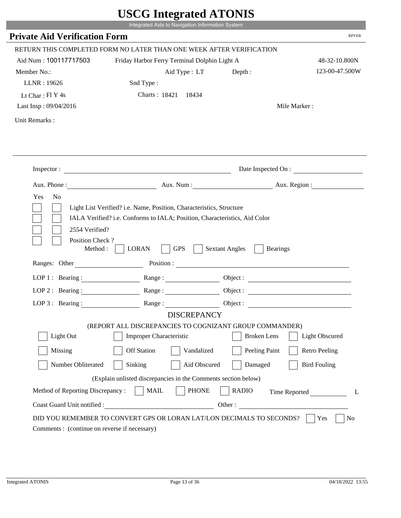|                                                                        | Integrated Aids to Navigation Information System                                                                                                   | $\sim$ $\sim$ $\sim$ $\sim$ $\sim$ $\sim$ $\sim$ |                       |
|------------------------------------------------------------------------|----------------------------------------------------------------------------------------------------------------------------------------------------|--------------------------------------------------|-----------------------|
| <b>Private Aid Verification Form</b>                                   |                                                                                                                                                    |                                                  | <b>RPVER</b>          |
|                                                                        | RETURN THIS COMPLETED FORM NO LATER THAN ONE WEEK AFTER VERIFICATION                                                                               |                                                  |                       |
| Aid Num: 100117717503                                                  | Friday Harbor Ferry Terminal Dolphin Light A                                                                                                       |                                                  | 48-32-10.800N         |
| Member No.:                                                            | Aid Type: LT                                                                                                                                       | Depth:                                           | 123-00-47.500W        |
| LLNR: 19626                                                            | Snd Type:                                                                                                                                          |                                                  |                       |
| Lt Char: $FI$ Y 4s                                                     | Charts: 18421 18434                                                                                                                                |                                                  |                       |
| Last Insp: 09/04/2016                                                  |                                                                                                                                                    |                                                  | Mile Marker:          |
| Unit Remarks:                                                          |                                                                                                                                                    |                                                  |                       |
|                                                                        |                                                                                                                                                    |                                                  | Date Inspected On :   |
|                                                                        | Aux. Phone : Aux. Num : Aux. Num : Aux. Num : Aux. Region :                                                                                        |                                                  |                       |
| Yes<br>N <sub>o</sub>                                                  | Light List Verified? i.e. Name, Position, Characteristics, Structure<br>IALA Verified? i.e. Conforms to IALA; Position, Characteristics, Aid Color |                                                  |                       |
| 2554 Verified?<br>Position Check?<br>Method : $\vert$<br>Ranges: Other | <b>LORAN</b><br><b>GPS</b>                                                                                                                         | <b>Sextant Angles</b><br><b>Bearings</b>         |                       |
|                                                                        |                                                                                                                                                    |                                                  |                       |
|                                                                        | LOP 1: Bearing: Range:                                                                                                                             |                                                  |                       |
| LOP 2: Bearing:                                                        |                                                                                                                                                    |                                                  |                       |
|                                                                        | LOP 3: Bearing: Range: Range: Object:                                                                                                              |                                                  |                       |
|                                                                        | <b>DISCREPANCY</b><br>(REPORT ALL DISCREPANCIES TO COGNIZANT GROUP COMMANDER)                                                                      |                                                  |                       |
| Light Out                                                              | Improper Characteristic                                                                                                                            | <b>Broken</b> Lens                               | <b>Light Obscured</b> |
|                                                                        | <b>Off Station</b>                                                                                                                                 |                                                  |                       |
| Missing                                                                | Vandalized                                                                                                                                         | Peeling Paint                                    | <b>Retro Peeling</b>  |
| Number Obliterated                                                     | Sinking<br>Aid Obscured                                                                                                                            | Damaged                                          | <b>Bird Fouling</b>   |
|                                                                        | (Explain unlisted discrepancies in the Comments section below)                                                                                     |                                                  |                       |
| Method of Reporting Discrepancy:<br>Coast Guard Unit notified :        | <b>MAIL</b><br><b>PHONE</b><br><u> 1990 - Johann Barbara, martxa eta politikar</u>                                                                 | <b>RADIO</b><br>Other:                           | Time Reported<br>L    |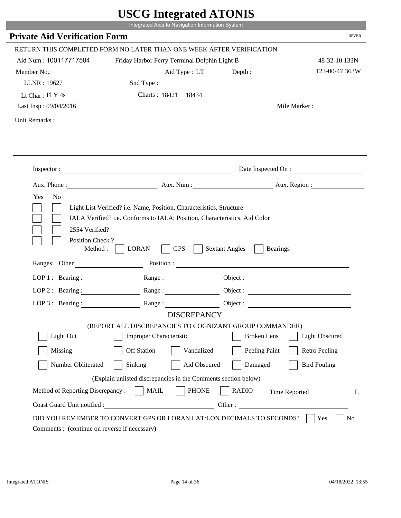|                                                       | $\sim$ $\sim$ $\sim$ $\sim$ $\sim$ $\sim$ $\sim$<br>Integrated Aids to Navigation Information System                                               |                       |                       |
|-------------------------------------------------------|----------------------------------------------------------------------------------------------------------------------------------------------------|-----------------------|-----------------------|
| <b>Private Aid Verification Form</b>                  |                                                                                                                                                    |                       | <b>RPVER</b>          |
|                                                       | RETURN THIS COMPLETED FORM NO LATER THAN ONE WEEK AFTER VERIFICATION                                                                               |                       |                       |
| Aid Num: 100117717504                                 | Friday Harbor Ferry Terminal Dolphin Light B                                                                                                       |                       | 48-32-10.133N         |
| Member No.:                                           | Aid Type: LT                                                                                                                                       | Depth:                | 123-00-47.363W        |
| LLNR: 19627                                           | Snd Type:                                                                                                                                          |                       |                       |
| Lt Char: $FI$ Y 4s                                    | Charts: 18421 18434                                                                                                                                |                       |                       |
| Last Insp: 09/04/2016                                 |                                                                                                                                                    |                       | Mile Marker:          |
| Unit Remarks:                                         |                                                                                                                                                    |                       |                       |
|                                                       |                                                                                                                                                    |                       |                       |
|                                                       |                                                                                                                                                    |                       | Date Inspected On :   |
|                                                       | Aux. Phone : Aux. Num : Aux. Num : Aux. Num : Aux. Region :                                                                                        |                       |                       |
| Yes<br>N <sub>o</sub>                                 | Light List Verified? i.e. Name, Position, Characteristics, Structure<br>IALA Verified? i.e. Conforms to IALA; Position, Characteristics, Aid Color |                       |                       |
| 2554 Verified?<br>Position Check?<br>Method : $\vert$ | <b>LORAN</b><br><b>GPS</b>                                                                                                                         | <b>Sextant Angles</b> | <b>Bearings</b>       |
| Ranges: Other                                         |                                                                                                                                                    |                       |                       |
|                                                       | LOP 1: Bearing: Range:                                                                                                                             |                       |                       |
| LOP 2: Bearing:                                       |                                                                                                                                                    |                       |                       |
|                                                       | LOP 3: Bearing: Range: Range: Object:                                                                                                              |                       |                       |
|                                                       | <b>DISCREPANCY</b>                                                                                                                                 |                       |                       |
| Light Out                                             | (REPORT ALL DISCREPANCIES TO COGNIZANT GROUP COMMANDER)<br>Improper Characteristic                                                                 | <b>Broken</b> Lens    | <b>Light Obscured</b> |
|                                                       |                                                                                                                                                    |                       |                       |
| Missing                                               | <b>Off Station</b><br>Vandalized                                                                                                                   | Peeling Paint         | <b>Retro Peeling</b>  |
| Number Obliterated                                    | Sinking<br>Aid Obscured                                                                                                                            | Damaged               | <b>Bird Fouling</b>   |
|                                                       | (Explain unlisted discrepancies in the Comments section below)                                                                                     |                       |                       |
| Method of Reporting Discrepancy:                      | <b>MAIL</b><br><b>PHONE</b>                                                                                                                        | <b>RADIO</b>          | Time Reported<br>L    |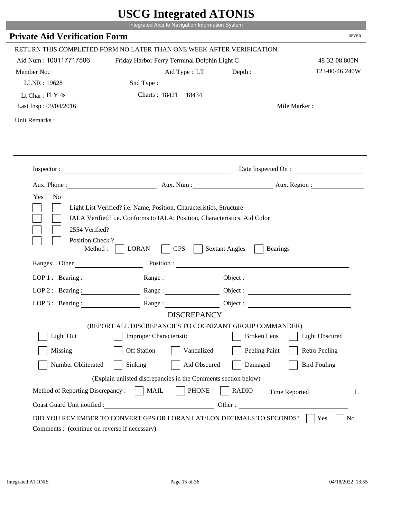|                                                          | $\sim$<br>Integrated Aids to Navigation Information System                                                                                         |                       |                       |
|----------------------------------------------------------|----------------------------------------------------------------------------------------------------------------------------------------------------|-----------------------|-----------------------|
| <b>Private Aid Verification Form</b>                     |                                                                                                                                                    |                       | <b>RPVER</b>          |
|                                                          | RETURN THIS COMPLETED FORM NO LATER THAN ONE WEEK AFTER VERIFICATION                                                                               |                       |                       |
| Aid Num: 100117717506                                    | Friday Harbor Ferry Terminal Dolphin Light C                                                                                                       |                       | 48-32-08.800N         |
| Member No.:                                              | Aid Type: LT                                                                                                                                       | Depth:                | 123-00-46.240W        |
| LLNR: 19628                                              | Snd Type:                                                                                                                                          |                       |                       |
| Lt Char: Fl Y 4s                                         | Charts: 18421 18434                                                                                                                                |                       |                       |
| Last Insp: 09/04/2016                                    |                                                                                                                                                    |                       | Mile Marker:          |
| Unit Remarks:                                            |                                                                                                                                                    |                       |                       |
|                                                          |                                                                                                                                                    |                       |                       |
|                                                          | Inspector:                                                                                                                                         |                       | Date Inspected On :   |
|                                                          | Aux. Phone : Aux. Num : Aux. Num : Aux. Aux. Region :                                                                                              |                       |                       |
| Yes<br>N <sub>o</sub><br>2554 Verified?                  | Light List Verified? i.e. Name, Position, Characteristics, Structure<br>IALA Verified? i.e. Conforms to IALA; Position, Characteristics, Aid Color |                       |                       |
| Position Check?<br>Method : $\vert$<br>Ranges: Other     | <b>GPS</b><br><b>LORAN</b><br>Position :                                                                                                           | <b>Sextant Angles</b> | <b>Bearings</b>       |
|                                                          | Range:                                                                                                                                             |                       |                       |
| LOP 1 : Bearing : $\qquad \qquad$<br>$LOP$ 2 : Bearing : |                                                                                                                                                    |                       |                       |
|                                                          |                                                                                                                                                    |                       |                       |
|                                                          | LOP 3: Bearing : $\qquad \qquad$ Range :<br><b>DISCREPANCY</b>                                                                                     |                       | Object:               |
|                                                          | (REPORT ALL DISCREPANCIES TO COGNIZANT GROUP COMMANDER)                                                                                            |                       |                       |
| Light Out                                                | Improper Characteristic                                                                                                                            | <b>Broken</b> Lens    | <b>Light Obscured</b> |
| Missing                                                  | <b>Off Station</b><br>Vandalized                                                                                                                   | Peeling Paint         | <b>Retro Peeling</b>  |
| Number Obliterated                                       | Sinking<br>Aid Obscured                                                                                                                            | Damaged               | <b>Bird Fouling</b>   |
|                                                          | (Explain unlisted discrepancies in the Comments section below)                                                                                     |                       |                       |
| Method of Reporting Discrepancy:                         | <b>MAIL</b><br><b>PHONE</b>                                                                                                                        | <b>RADIO</b>          | Time Reported<br>L    |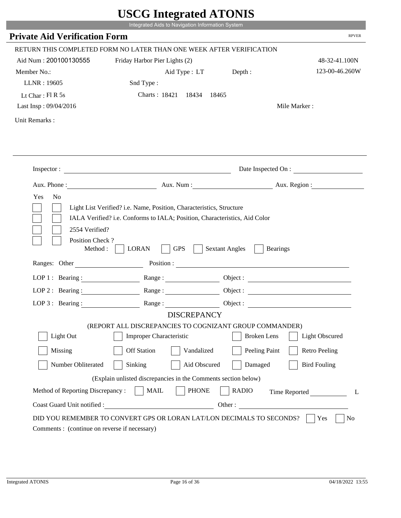|                                                                | UDUU IIIIU ARUU ATUNID<br>Integrated Aids to Navigation Information System                |                                                                                                                                                                                                                                                                            |                       |
|----------------------------------------------------------------|-------------------------------------------------------------------------------------------|----------------------------------------------------------------------------------------------------------------------------------------------------------------------------------------------------------------------------------------------------------------------------|-----------------------|
|                                                                |                                                                                           |                                                                                                                                                                                                                                                                            | <b>RPVER</b>          |
| <b>Private Aid Verification Form</b>                           |                                                                                           |                                                                                                                                                                                                                                                                            |                       |
|                                                                | RETURN THIS COMPLETED FORM NO LATER THAN ONE WEEK AFTER VERIFICATION                      |                                                                                                                                                                                                                                                                            |                       |
| Aid Num: 200100130555                                          | Friday Harbor Pier Lights (2)                                                             |                                                                                                                                                                                                                                                                            | 48-32-41.100N         |
| Member No.:                                                    | Aid Type : LT Depth :                                                                     |                                                                                                                                                                                                                                                                            | 123-00-46.260W        |
| LLNR: 19605                                                    | Snd Type:                                                                                 |                                                                                                                                                                                                                                                                            |                       |
| Lt Char: $FI R 5s$                                             | Charts: 18421 18434                                                                       | 18465                                                                                                                                                                                                                                                                      |                       |
| Last Insp: 09/04/2016                                          |                                                                                           |                                                                                                                                                                                                                                                                            | Mile Marker:          |
| Unit Remarks:                                                  |                                                                                           |                                                                                                                                                                                                                                                                            |                       |
|                                                                |                                                                                           |                                                                                                                                                                                                                                                                            |                       |
|                                                                | Inspector:                                                                                |                                                                                                                                                                                                                                                                            | Date Inspected On :   |
| Aux. Phone :                                                   |                                                                                           | Aux. Num : Aux. Region :                                                                                                                                                                                                                                                   |                       |
| 2554 Verified?<br>Position Check?<br>Method :<br>Ranges: Other | <b>GPS</b><br><b>LORAN</b>                                                                | <b>Sextant Angles</b><br><b>Bearings</b><br>Position : The Contract of the Contract of the Contract of the Contract of the Contract of the Contract of the Contract of the Contract of the Contract of the Contract of the Contract of the Contract of the Contract of the |                       |
|                                                                |                                                                                           |                                                                                                                                                                                                                                                                            |                       |
| LOP 1 : Bearing :                                              |                                                                                           | Object :                                                                                                                                                                                                                                                                   |                       |
| $LOP$ 2 : Bearing :                                            | Range :                                                                                   |                                                                                                                                                                                                                                                                            |                       |
| LOP $3:$ Bearing :                                             | Range:                                                                                    |                                                                                                                                                                                                                                                                            |                       |
|                                                                | <b>DISCREPANCY</b>                                                                        |                                                                                                                                                                                                                                                                            |                       |
| Light Out                                                      | (REPORT ALL DISCREPANCIES TO COGNIZANT GROUP COMMANDER)<br><b>Improper Characteristic</b> | <b>Broken</b> Lens                                                                                                                                                                                                                                                         | <b>Light Obscured</b> |
|                                                                |                                                                                           |                                                                                                                                                                                                                                                                            |                       |
| Missing                                                        | <b>Off Station</b><br>Vandalized                                                          | Peeling Paint                                                                                                                                                                                                                                                              | <b>Retro Peeling</b>  |
| Number Obliterated                                             | Sinking<br>Aid Obscured                                                                   | Damaged                                                                                                                                                                                                                                                                    | <b>Bird Fouling</b>   |
|                                                                | (Explain unlisted discrepancies in the Comments section below)                            |                                                                                                                                                                                                                                                                            |                       |
| Method of Reporting Discrepancy:                               | <b>PHONE</b><br><b>MAIL</b>                                                               | <b>RADIO</b>                                                                                                                                                                                                                                                               | Time Reported<br>L    |
| Coast Guard Unit notified :                                    | <u> 1980 - Johann Barbara, martin d</u>                                                   | Other:                                                                                                                                                                                                                                                                     |                       |
|                                                                | DID YOU REMEMBER TO CONVERT GPS OR LORAN LAT/LON DECIMALS TO SECONDS?                     |                                                                                                                                                                                                                                                                            | Yes<br>No             |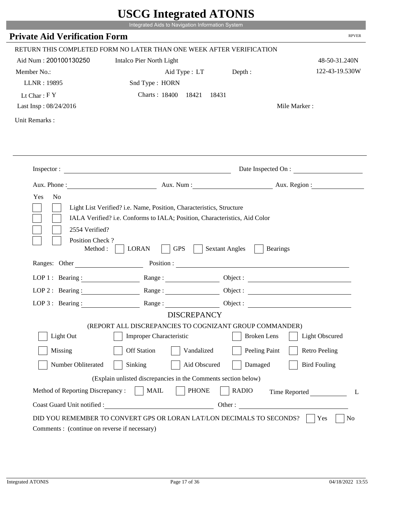|                                                      | Integrated Aids to Navigation Information System                                              |                                          |                        |
|------------------------------------------------------|-----------------------------------------------------------------------------------------------|------------------------------------------|------------------------|
| <b>Private Aid Verification Form</b>                 |                                                                                               |                                          | <b>RPVER</b>           |
|                                                      | RETURN THIS COMPLETED FORM NO LATER THAN ONE WEEK AFTER VERIFICATION                          |                                          |                        |
| Aid Num: 200100130250                                | Intalco Pier North Light                                                                      |                                          | 48-50-31.240N          |
| Member No.:                                          | Aid Type : LT                                                                                 | Depth:                                   | 122-43-19.530W         |
| LLNR: 19895                                          | Snd Type: HORN                                                                                |                                          |                        |
| Lt Char: $FY$                                        | Charts: 18400 18421<br>18431                                                                  |                                          |                        |
| Last Insp: 08/24/2016                                |                                                                                               |                                          | Mile Marker:           |
| Unit Remarks:                                        |                                                                                               |                                          |                        |
|                                                      |                                                                                               |                                          |                        |
|                                                      | Inspector:                                                                                    |                                          | Date Inspected On :    |
|                                                      |                                                                                               |                                          | Aux. Num: Aux. Region: |
| 2554 Verified?                                       | IALA Verified? i.e. Conforms to IALA; Position, Characteristics, Aid Color                    |                                          |                        |
| Position Check?<br>Method : $\vert$<br>Ranges: Other | <b>GPS</b><br><b>LORAN</b><br>Position :                                                      | <b>Sextant Angles</b><br><b>Bearings</b> |                        |
|                                                      |                                                                                               |                                          |                        |
|                                                      | LOP 1: Bearing : $\qquad \qquad$ Range :                                                      |                                          |                        |
|                                                      | LOP 2 : Bearing : $\qquad \qquad$ Range :                                                     |                                          |                        |
| LOP $3:$ Bearing :                                   | Range:<br><b>DISCREPANCY</b>                                                                  |                                          | Object:                |
|                                                      | (REPORT ALL DISCREPANCIES TO COGNIZANT GROUP COMMANDER)                                       |                                          |                        |
| Light Out                                            | Improper Characteristic                                                                       | <b>Broken</b> Lens                       | <b>Light Obscured</b>  |
| Missing                                              | <b>Off Station</b><br>Vandalized                                                              | Peeling Paint                            | <b>Retro Peeling</b>   |
| Number Obliterated                                   | Aid Obscured<br>Sinking                                                                       | Damaged                                  | <b>Bird Fouling</b>    |
|                                                      |                                                                                               |                                          |                        |
| Method of Reporting Discrepancy:                     | (Explain unlisted discrepancies in the Comments section below)<br><b>PHONE</b><br><b>MAIL</b> | <b>RADIO</b>                             |                        |
| Coast Guard Unit notified :                          | Other:                                                                                        |                                          | Time Reported          |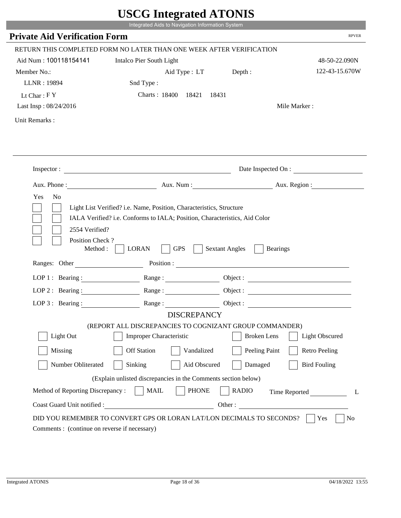|                                                                 | Integrated Aids to Navigation Information System                                                                                                                                                                                                                                                                                                                 |                                          |                       |
|-----------------------------------------------------------------|------------------------------------------------------------------------------------------------------------------------------------------------------------------------------------------------------------------------------------------------------------------------------------------------------------------------------------------------------------------|------------------------------------------|-----------------------|
| <b>Private Aid Verification Form</b>                            |                                                                                                                                                                                                                                                                                                                                                                  |                                          | <b>RPVER</b>          |
|                                                                 | RETURN THIS COMPLETED FORM NO LATER THAN ONE WEEK AFTER VERIFICATION                                                                                                                                                                                                                                                                                             |                                          |                       |
| Aid Num: 100118154141                                           | Intalco Pier South Light                                                                                                                                                                                                                                                                                                                                         |                                          | 48-50-22.090N         |
| Member No.:                                                     | Aid Type : LT Depth :                                                                                                                                                                                                                                                                                                                                            |                                          | 122-43-15.670W        |
| LLNR: 19894                                                     | Snd Type:                                                                                                                                                                                                                                                                                                                                                        |                                          |                       |
| Lt Char: $FY$                                                   | Charts: 18400 18421                                                                                                                                                                                                                                                                                                                                              | 18431                                    |                       |
| Last Insp: 08/24/2016                                           |                                                                                                                                                                                                                                                                                                                                                                  |                                          | Mile Marker:          |
| Unit Remarks:                                                   |                                                                                                                                                                                                                                                                                                                                                                  |                                          |                       |
|                                                                 | Inspector:                                                                                                                                                                                                                                                                                                                                                       |                                          | Date Inspected On :   |
|                                                                 | Aux. Phone: Aux. Aux. Num : Aux. Aux. Region :                                                                                                                                                                                                                                                                                                                   |                                          |                       |
|                                                                 |                                                                                                                                                                                                                                                                                                                                                                  |                                          |                       |
| Yes<br>N <sub>o</sub><br>2554 Verified?                         | Light List Verified? i.e. Name, Position, Characteristics, Structure<br>IALA Verified? i.e. Conforms to IALA; Position, Characteristics, Aid Color                                                                                                                                                                                                               |                                          |                       |
| Position Check?<br>Method : $\vert$<br>Ranges: Other            | <b>GPS</b><br><b>LORAN</b>                                                                                                                                                                                                                                                                                                                                       | <b>Sextant Angles</b><br><b>Bearings</b> |                       |
|                                                                 |                                                                                                                                                                                                                                                                                                                                                                  |                                          |                       |
|                                                                 | LOP 1 : Bearing : Range :                                                                                                                                                                                                                                                                                                                                        |                                          | Object:               |
| LOP $2:$ Bearing :                                              | $Range: \begin{tabular}{ c c } \hline \rule{0.3cm}{.04cm} \rule{0.3cm}{.04cm} \rule{0.3cm}{.04cm} \rule{0.3cm}{.04cm} \rule{0.3cm}{.04cm} \rule{0.3cm}{.04cm} \rule{0.3cm}{.04cm} \rule{0.3cm}{.04cm} \rule{0.3cm}{.04cm} \rule{0.3cm}{.04cm} \rule{0.3cm}{.04cm} \rule{0.3cm}{.04cm} \rule{0.3cm}{.04cm} \rule{0.3cm}{.04cm} \rule{0.3cm}{.04cm} \rule{0.3cm}{$ |                                          |                       |
|                                                                 | LOP 3: Bearing: Range: Name: Object:                                                                                                                                                                                                                                                                                                                             |                                          |                       |
|                                                                 | <b>DISCREPANCY</b>                                                                                                                                                                                                                                                                                                                                               |                                          |                       |
| Light Out                                                       | (REPORT ALL DISCREPANCIES TO COGNIZANT GROUP COMMANDER)<br>Improper Characteristic                                                                                                                                                                                                                                                                               | <b>Broken</b> Lens                       | <b>Light Obscured</b> |
| Missing                                                         | <b>Off Station</b><br>Vandalized                                                                                                                                                                                                                                                                                                                                 | Peeling Paint                            | <b>Retro Peeling</b>  |
| Number Obliterated                                              | Sinking<br>Aid Obscured                                                                                                                                                                                                                                                                                                                                          | Damaged                                  | <b>Bird Fouling</b>   |
|                                                                 |                                                                                                                                                                                                                                                                                                                                                                  |                                          |                       |
|                                                                 | (Explain unlisted discrepancies in the Comments section below)                                                                                                                                                                                                                                                                                                   |                                          |                       |
| Method of Reporting Discrepancy:<br>Coast Guard Unit notified : | <b>PHONE</b><br><b>MAIL</b>                                                                                                                                                                                                                                                                                                                                      | <b>RADIO</b><br>Other:                   | Time Reported<br>L    |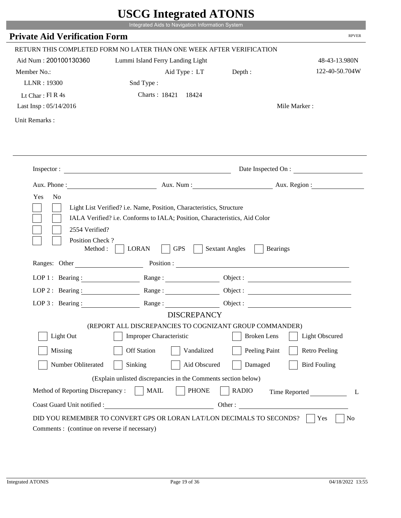|                                               | CDCO mitcarattu ATUNID                                                        |                                          |                        |
|-----------------------------------------------|-------------------------------------------------------------------------------|------------------------------------------|------------------------|
|                                               | Integrated Aids to Navigation Information System                              |                                          |                        |
| <b>Private Aid Verification Form</b>          |                                                                               |                                          | <b>RPVER</b>           |
|                                               | RETURN THIS COMPLETED FORM NO LATER THAN ONE WEEK AFTER VERIFICATION          |                                          |                        |
| Aid Num: 200100130360                         | Lummi Island Ferry Landing Light                                              |                                          | 48-43-13.980N          |
| Member No.:                                   | Aid Type : LT Depth :                                                         |                                          | 122-40-50.704W         |
| LLNR: 19300                                   | Snd Type:                                                                     |                                          |                        |
| Lt Char: $FI R 4s$                            | Charts: 18421 18424                                                           |                                          |                        |
| Last Insp: 05/14/2016                         |                                                                               |                                          | Mile Marker:           |
| Unit Remarks:                                 |                                                                               |                                          |                        |
|                                               |                                                                               |                                          |                        |
|                                               | Inspector:                                                                    |                                          | Date Inspected On :    |
|                                               |                                                                               |                                          | Aux. Num: Aux. Region: |
| Yes<br>N <sub>o</sub>                         |                                                                               |                                          |                        |
| Position Check?<br>Method:<br>Ranges: Other   | <b>GPS</b><br><b>LORAN</b><br>Position :                                      | <b>Sextant Angles</b><br><b>Bearings</b> |                        |
|                                               | LOP 1: Bearing: Range:                                                        |                                          |                        |
| LOP $2:$ Bearing :                            | Range:                                                                        |                                          |                        |
|                                               |                                                                               |                                          |                        |
|                                               | LOP 3: Bearing: Range: Object:                                                |                                          |                        |
|                                               | <b>DISCREPANCY</b><br>(REPORT ALL DISCREPANCIES TO COGNIZANT GROUP COMMANDER) |                                          |                        |
| Light Out                                     | <b>Improper Characteristic</b>                                                | <b>Broken</b> Lens                       | Light Obscured         |
| Missing                                       | <b>Off Station</b><br>Vandalized                                              | Peeling Paint                            | <b>Retro Peeling</b>   |
| Number Obliterated                            | Sinking<br>Aid Obscured                                                       | Damaged                                  | <b>Bird Fouling</b>    |
|                                               | (Explain unlisted discrepancies in the Comments section below)                |                                          |                        |
| Method of Reporting Discrepancy:              | <b>PHONE</b><br><b>MAIL</b>                                                   | <b>RADIO</b>                             | Time Reported<br>L     |
| Coast Guard Unit notified :                   | <u> 1980 - Johann Barbara, martin d</u>                                       | Other:                                   |                        |
| Comments : (continue on reverse if necessary) | DID YOU REMEMBER TO CONVERT GPS OR LORAN LAT/LON DECIMALS TO SECONDS?         |                                          | Yes<br>No              |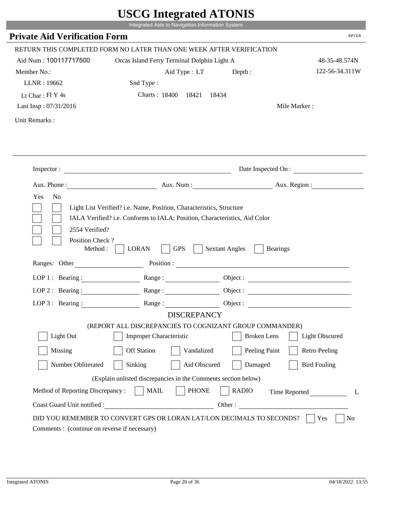|                                                                 | Integrated Aids to Navigation Information System                                                                                                   |                                          |                       |
|-----------------------------------------------------------------|----------------------------------------------------------------------------------------------------------------------------------------------------|------------------------------------------|-----------------------|
| <b>Private Aid Verification Form</b>                            |                                                                                                                                                    |                                          | <b>RPVER</b>          |
|                                                                 | RETURN THIS COMPLETED FORM NO LATER THAN ONE WEEK AFTER VERIFICATION                                                                               |                                          |                       |
| Aid Num: 100117717500                                           | Orcas Island Ferry Terminal Dolphin Light A                                                                                                        |                                          | 48-35-48.574N         |
| Member No.:                                                     | Aid Type: LT                                                                                                                                       | Depth :                                  | 122-56-34.311W        |
| LLNR: 19662                                                     | Snd Type:                                                                                                                                          |                                          |                       |
| Lt Char: $FI Y 4s$                                              | Charts: 18400 18421 18434                                                                                                                          |                                          |                       |
| Last Insp: 07/31/2016                                           |                                                                                                                                                    |                                          | Mile Marker:          |
| Unit Remarks:                                                   |                                                                                                                                                    |                                          |                       |
|                                                                 |                                                                                                                                                    |                                          |                       |
|                                                                 | Inspector:                                                                                                                                         |                                          | Date Inspected On :   |
|                                                                 | Aux. Phone: Aux. Num : Aux. Num : Aux. Region :                                                                                                    |                                          |                       |
| 2554 Verified?                                                  | Light List Verified? i.e. Name, Position, Characteristics, Structure<br>IALA Verified? i.e. Conforms to IALA; Position, Characteristics, Aid Color |                                          |                       |
| Position Check?<br>Method : $\vert$<br>Ranges: Other            | <b>LORAN</b><br><b>GPS</b>                                                                                                                         | <b>Sextant Angles</b><br><b>Bearings</b> |                       |
|                                                                 |                                                                                                                                                    |                                          |                       |
|                                                                 | LOP 1: Bearing: Range:                                                                                                                             |                                          |                       |
|                                                                 | LOP 2 : Bearing : $\qquad \qquad$ Range :                                                                                                          |                                          |                       |
|                                                                 | LOP 3: Bearing: Range: Range: Object:<br><b>DISCREPANCY</b>                                                                                        |                                          |                       |
|                                                                 | (REPORT ALL DISCREPANCIES TO COGNIZANT GROUP COMMANDER)                                                                                            |                                          |                       |
| Light Out                                                       | Improper Characteristic                                                                                                                            | <b>Broken</b> Lens                       | <b>Light Obscured</b> |
| Missing                                                         | <b>Off Station</b><br>Vandalized                                                                                                                   | Peeling Paint                            | <b>Retro Peeling</b>  |
| Number Obliterated                                              | Sinking<br>Aid Obscured                                                                                                                            | Damaged                                  | <b>Bird Fouling</b>   |
|                                                                 |                                                                                                                                                    |                                          |                       |
|                                                                 | (Explain unlisted discrepancies in the Comments section below)                                                                                     |                                          |                       |
| Method of Reporting Discrepancy:<br>Coast Guard Unit notified : | <b>MAIL</b><br><b>PHONE</b><br><u> 1980 - Johann Barbara, martxa eta politikar</u>                                                                 | <b>RADIO</b><br>Other:                   | Time Reported<br>L    |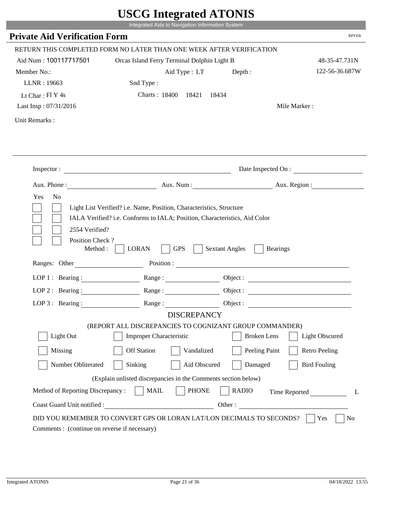|                                                                 | Integrated Aids to Navigation Information System                                                                                                   |                                          |                       |
|-----------------------------------------------------------------|----------------------------------------------------------------------------------------------------------------------------------------------------|------------------------------------------|-----------------------|
| <b>Private Aid Verification Form</b>                            |                                                                                                                                                    |                                          | <b>RPVER</b>          |
|                                                                 | RETURN THIS COMPLETED FORM NO LATER THAN ONE WEEK AFTER VERIFICATION                                                                               |                                          |                       |
| Aid Num: 100117717501                                           | Orcas Island Ferry Terminal Dolphin Light B                                                                                                        |                                          | 48-35-47.731N         |
| Member No.:                                                     | Aid Type: LT                                                                                                                                       | Depth :                                  | 122-56-36.687W        |
| LLNR: 19663                                                     | Snd Type:                                                                                                                                          |                                          |                       |
| Lt Char: $FI Y 4s$                                              | Charts: 18400 18421                                                                                                                                | 18434                                    |                       |
| Last Insp: 07/31/2016                                           |                                                                                                                                                    |                                          | Mile Marker:          |
| Unit Remarks:                                                   |                                                                                                                                                    |                                          |                       |
|                                                                 |                                                                                                                                                    |                                          |                       |
|                                                                 | Inspector:                                                                                                                                         |                                          | Date Inspected On :   |
|                                                                 | Aux. Phone: Aux. Aux. Num : Aux. Aux. Region :                                                                                                     |                                          |                       |
| Yes<br>N <sub>o</sub><br>2554 Verified?                         | Light List Verified? i.e. Name, Position, Characteristics, Structure<br>IALA Verified? i.e. Conforms to IALA; Position, Characteristics, Aid Color |                                          |                       |
| Position Check?<br>Method : $\vert$<br>Ranges: Other            | <b>GPS</b><br><b>LORAN</b>                                                                                                                         | <b>Sextant Angles</b><br><b>Bearings</b> |                       |
|                                                                 |                                                                                                                                                    |                                          |                       |
|                                                                 | LOP 1 : Bearing : Range :                                                                                                                          |                                          | Object:               |
| LOP 2 : Bearing :                                               |                                                                                                                                                    |                                          |                       |
|                                                                 | LOP 3: Bearing: Range: Range: Object:                                                                                                              |                                          |                       |
|                                                                 | <b>DISCREPANCY</b><br>(REPORT ALL DISCREPANCIES TO COGNIZANT GROUP COMMANDER)                                                                      |                                          |                       |
| Light Out                                                       | Improper Characteristic                                                                                                                            | <b>Broken</b> Lens                       | <b>Light Obscured</b> |
|                                                                 | <b>Off Station</b>                                                                                                                                 |                                          |                       |
| Missing                                                         | Vandalized                                                                                                                                         | Peeling Paint                            | <b>Retro Peeling</b>  |
| Number Obliterated                                              | Sinking<br>Aid Obscured                                                                                                                            | Damaged                                  | <b>Bird Fouling</b>   |
|                                                                 | (Explain unlisted discrepancies in the Comments section below)                                                                                     |                                          |                       |
| Method of Reporting Discrepancy:<br>Coast Guard Unit notified : | <b>PHONE</b><br><b>MAIL</b><br><u> 1989 - Johann Barbara, martxa alemaniar a</u>                                                                   | <b>RADIO</b><br>Other:                   | Time Reported<br>L    |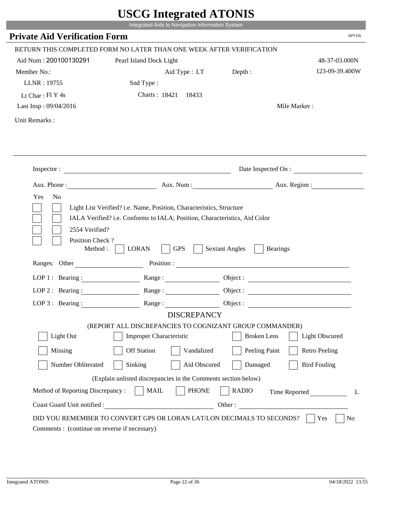|                                                       | Integrated Aids to Navigation Information System                                                         |                                          |                              |
|-------------------------------------------------------|----------------------------------------------------------------------------------------------------------|------------------------------------------|------------------------------|
| <b>Private Aid Verification Form</b>                  |                                                                                                          |                                          | <b>RPVER</b>                 |
|                                                       | RETURN THIS COMPLETED FORM NO LATER THAN ONE WEEK AFTER VERIFICATION                                     |                                          |                              |
| Aid Num: 200100130291                                 | Pearl Island Dock Light                                                                                  |                                          | 48-37-03.000N                |
| Member No.:                                           | Aid Type : LT                                                                                            | Depth:                                   | 123-09-39.400W               |
| LLNR: 19755                                           | Snd Type:                                                                                                |                                          |                              |
| Lt Char: $FI$ Y 4s                                    | Charts: 18421 18433                                                                                      |                                          |                              |
| Last Insp: 09/04/2016                                 |                                                                                                          |                                          | Mile Marker:                 |
| Unit Remarks:                                         |                                                                                                          |                                          |                              |
|                                                       | Inspector:                                                                                               |                                          | Date Inspected On :          |
|                                                       | Aux. Phone : Aux. Num : Aux. Num : Aux. Num : Aux. Region :                                              |                                          |                              |
|                                                       | Light List Verified? i.e. Name, Position, Characteristics, Structure                                     |                                          |                              |
| 2554 Verified?<br>Position Check?<br>Method : $\vert$ | IALA Verified? i.e. Conforms to IALA; Position, Characteristics, Aid Color<br><b>LORAN</b><br><b>GPS</b> | <b>Sextant Angles</b><br><b>Bearings</b> |                              |
| Ranges: Other                                         |                                                                                                          |                                          |                              |
|                                                       | LOP 1: Bearing: Range:                                                                                   |                                          |                              |
| LOP 2: Bearing:                                       |                                                                                                          |                                          |                              |
|                                                       | LOP 3: Bearing: Range: Range: Object:                                                                    |                                          |                              |
|                                                       | <b>DISCREPANCY</b>                                                                                       |                                          |                              |
|                                                       | (REPORT ALL DISCREPANCIES TO COGNIZANT GROUP COMMANDER)                                                  |                                          |                              |
| Light Out                                             | Improper Characteristic                                                                                  | <b>Broken</b> Lens                       | <b>Light Obscured</b>        |
| Missing                                               | <b>Off Station</b><br>Vandalized                                                                         | Peeling Paint                            | <b>Retro Peeling</b>         |
| Number Obliterated                                    | Sinking<br>Aid Obscured                                                                                  | Damaged                                  | <b>Bird Fouling</b>          |
|                                                       | (Explain unlisted discrepancies in the Comments section below)                                           |                                          |                              |
| Method of Reporting Discrepancy:                      | <b>MAIL</b><br><b>PHONE</b>                                                                              | <b>RADIO</b>                             |                              |
| Coast Guard Unit notified :                           | <u> 1980 - Johann Barbara, martxa eta politikar</u>                                                      |                                          | Time Reported<br>L<br>Other: |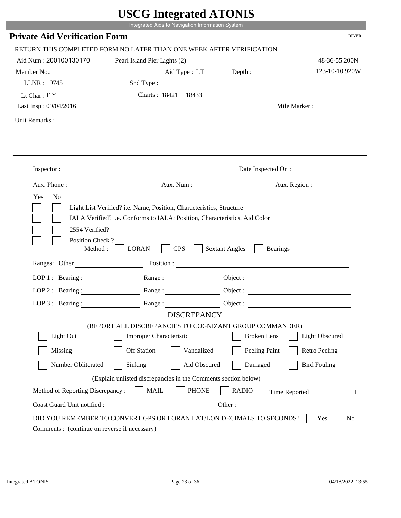|                                                                        | Integrated Aids to Navigation Information System                                                                                                   |                       |                              |
|------------------------------------------------------------------------|----------------------------------------------------------------------------------------------------------------------------------------------------|-----------------------|------------------------------|
| <b>Private Aid Verification Form</b>                                   |                                                                                                                                                    |                       | <b>RPVER</b>                 |
|                                                                        | RETURN THIS COMPLETED FORM NO LATER THAN ONE WEEK AFTER VERIFICATION                                                                               |                       |                              |
| Aid Num: 200100130170                                                  | Pearl Island Pier Lights (2)                                                                                                                       |                       | 48-36-55.200N                |
| Member No.:                                                            | Aid Type : LT Depth :                                                                                                                              |                       | 123-10-10.920W               |
| LLNR: 19745                                                            | Snd Type:                                                                                                                                          |                       |                              |
| Lt Char: $FY$                                                          | Charts: 18421 18433                                                                                                                                |                       |                              |
| Last Insp: 09/04/2016                                                  |                                                                                                                                                    |                       | Mile Marker:                 |
| Unit Remarks:                                                          |                                                                                                                                                    |                       |                              |
|                                                                        | Inspector:                                                                                                                                         |                       | Date Inspected On :          |
|                                                                        | Aux. Phone : Aux. Num : Aux. Num : Aux. Num : Aux. Region :                                                                                        |                       |                              |
| Yes<br>N <sub>o</sub>                                                  | Light List Verified? i.e. Name, Position, Characteristics, Structure<br>IALA Verified? i.e. Conforms to IALA; Position, Characteristics, Aid Color |                       |                              |
| 2554 Verified?<br>Position Check?<br>Method : $\vert$<br>Ranges: Other | <b>LORAN</b><br><b>GPS</b>                                                                                                                         | <b>Sextant Angles</b> | <b>Bearings</b>              |
|                                                                        |                                                                                                                                                    |                       |                              |
|                                                                        | LOP 1: Bearing: Range:                                                                                                                             |                       |                              |
| LOP 2: Bearing:                                                        | Range:                                                                                                                                             |                       |                              |
|                                                                        | LOP 3: Bearing: Range: Range: Object:                                                                                                              |                       |                              |
|                                                                        | <b>DISCREPANCY</b><br>(REPORT ALL DISCREPANCIES TO COGNIZANT GROUP COMMANDER)                                                                      |                       |                              |
| Light Out                                                              | Improper Characteristic                                                                                                                            | <b>Broken</b> Lens    | <b>Light Obscured</b>        |
| Missing                                                                | <b>Off Station</b><br>Vandalized                                                                                                                   | Peeling Paint         | <b>Retro Peeling</b>         |
| Number Obliterated                                                     | Sinking<br>Aid Obscured                                                                                                                            | Damaged               | <b>Bird Fouling</b>          |
|                                                                        |                                                                                                                                                    |                       |                              |
|                                                                        | (Explain unlisted discrepancies in the Comments section below)                                                                                     |                       |                              |
| Method of Reporting Discrepancy:<br>Coast Guard Unit notified :        | <b>MAIL</b><br><b>PHONE</b><br><u> 1990 - Johann Barbara, martxa eta politikar</u>                                                                 | <b>RADIO</b>          | Time Reported<br>L<br>Other: |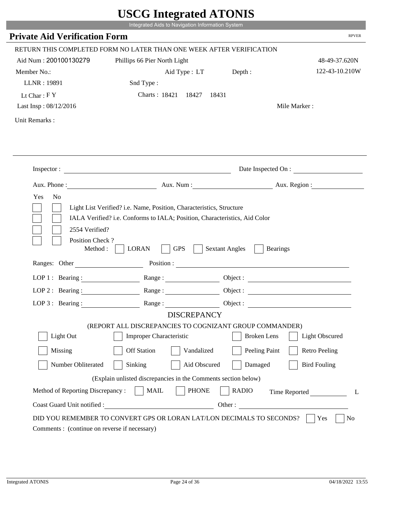|                                      | Integrated Aids to Navigation Information System                                                                                                   |                                          |                       |
|--------------------------------------|----------------------------------------------------------------------------------------------------------------------------------------------------|------------------------------------------|-----------------------|
| <b>Private Aid Verification Form</b> |                                                                                                                                                    |                                          | <b>RPVER</b>          |
|                                      | RETURN THIS COMPLETED FORM NO LATER THAN ONE WEEK AFTER VERIFICATION                                                                               |                                          |                       |
| Aid Num: 200100130279                | Phillips 66 Pier North Light                                                                                                                       |                                          | 48-49-37.620N         |
| Member No.:                          | Aid Type : LT Depth :                                                                                                                              |                                          | 122-43-10.210W        |
| LLNR: 19891                          | Snd Type:                                                                                                                                          |                                          |                       |
| Lt Char: $FY$                        | Charts: 18421 18427                                                                                                                                | 18431                                    |                       |
| Last Insp: 08/12/2016                |                                                                                                                                                    |                                          | Mile Marker:          |
| Unit Remarks:                        |                                                                                                                                                    |                                          |                       |
|                                      |                                                                                                                                                    |                                          |                       |
|                                      |                                                                                                                                                    |                                          |                       |
|                                      | Inspector:                                                                                                                                         |                                          | Date Inspected On :   |
|                                      |                                                                                                                                                    | Aux. Num: Aux. Region:                   |                       |
| 2554 Verified?                       | Light List Verified? i.e. Name, Position, Characteristics, Structure<br>IALA Verified? i.e. Conforms to IALA; Position, Characteristics, Aid Color |                                          |                       |
| Position Check?<br>Method :          | <b>GPS</b><br><b>LORAN</b>                                                                                                                         | <b>Sextant Angles</b><br><b>Bearings</b> |                       |
|                                      | Ranges: Other Position : Position : 2008                                                                                                           |                                          |                       |
| LOP 1 : Bearing :                    |                                                                                                                                                    |                                          |                       |
| LOP $2:$ Bearing :                   | Range:                                                                                                                                             |                                          | Object :              |
| $LOP 3:$ Bearing :                   | Range:                                                                                                                                             | Object :                                 |                       |
|                                      | <b>DISCREPANCY</b>                                                                                                                                 |                                          |                       |
| Light Out                            | (REPORT ALL DISCREPANCIES TO COGNIZANT GROUP COMMANDER)<br><b>Improper Characteristic</b>                                                          | <b>Broken</b> Lens                       | <b>Light Obscured</b> |
| Missing                              | <b>Off Station</b><br>Vandalized                                                                                                                   | Peeling Paint                            | <b>Retro Peeling</b>  |
| Number Obliterated                   | Aid Obscured<br>Sinking                                                                                                                            | Damaged                                  | <b>Bird Fouling</b>   |
|                                      |                                                                                                                                                    |                                          |                       |
| Method of Reporting Discrepancy:     | (Explain unlisted discrepancies in the Comments section below)<br><b>PHONE</b><br><b>MAIL</b>                                                      | <b>RADIO</b>                             |                       |
| Coast Guard Unit notified :          |                                                                                                                                                    | Other:                                   | Time Reported<br>L    |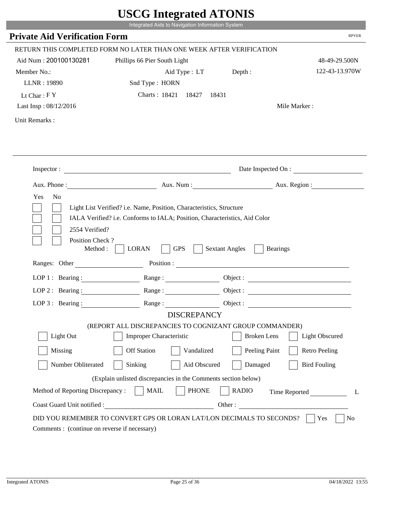|                                                                                                            | UDUU IIIItgi attu ATUNID<br>Integrated Aids to Navigation Information System                                                                       |                       |                        |
|------------------------------------------------------------------------------------------------------------|----------------------------------------------------------------------------------------------------------------------------------------------------|-----------------------|------------------------|
| <b>Private Aid Verification Form</b>                                                                       |                                                                                                                                                    |                       | <b>RPVER</b>           |
|                                                                                                            | RETURN THIS COMPLETED FORM NO LATER THAN ONE WEEK AFTER VERIFICATION                                                                               |                       |                        |
| Aid Num: 200100130281                                                                                      | Phillips 66 Pier South Light                                                                                                                       |                       | 48-49-29.500N          |
| Member No.:                                                                                                | Aid Type : LT Depth :                                                                                                                              |                       | 122-43-13.970W         |
| LLNR: 19890                                                                                                | Snd Type: HORN                                                                                                                                     |                       |                        |
| Lt Char: $FY$                                                                                              | Charts: 18421 18427<br>18431                                                                                                                       |                       |                        |
| Last Insp: 08/12/2016                                                                                      |                                                                                                                                                    |                       | Mile Marker:           |
| Unit Remarks:                                                                                              |                                                                                                                                                    |                       |                        |
|                                                                                                            |                                                                                                                                                    |                       |                        |
|                                                                                                            | Inspector:                                                                                                                                         |                       | Date Inspected On :    |
|                                                                                                            |                                                                                                                                                    |                       | Aux. Num: Aux. Region: |
| Yes<br>N <sub>0</sub><br>2554 Verified?                                                                    | Light List Verified? i.e. Name, Position, Characteristics, Structure<br>IALA Verified? i.e. Conforms to IALA; Position, Characteristics, Aid Color |                       |                        |
| Position Check?<br>Method :                                                                                | <b>GPS</b><br><b>LORAN</b><br>Ranges: Other Position : Position :                                                                                  | <b>Sextant Angles</b> | <b>Bearings</b>        |
|                                                                                                            |                                                                                                                                                    |                       |                        |
| LOP 1 : Bearing : $\frac{1}{\sqrt{1-\frac{1}{2}} \cdot \frac{1}{\sqrt{1-\frac{1}{2}} \cdot \frac{1}{2}}}}$ |                                                                                                                                                    |                       |                        |
| $LOP$ 2 : Bearing :                                                                                        |                                                                                                                                                    |                       |                        |
| LOP $3$ : Bearing :                                                                                        | <b>DISCREPANCY</b>                                                                                                                                 | Object :              |                        |
|                                                                                                            | (REPORT ALL DISCREPANCIES TO COGNIZANT GROUP COMMANDER)                                                                                            |                       |                        |
| Light Out                                                                                                  | <b>Improper Characteristic</b>                                                                                                                     | <b>Broken</b> Lens    | <b>Light Obscured</b>  |
| Missing                                                                                                    | <b>Off Station</b><br>Vandalized                                                                                                                   | Peeling Paint         | <b>Retro Peeling</b>   |
| Number Obliterated                                                                                         | Sinking<br>Aid Obscured                                                                                                                            | Damaged               | <b>Bird Fouling</b>    |
|                                                                                                            | (Explain unlisted discrepancies in the Comments section below)                                                                                     |                       |                        |
| Method of Reporting Discrepancy:                                                                           | <b>PHONE</b><br><b>MAIL</b>                                                                                                                        | <b>RADIO</b>          | Time Reported<br>L     |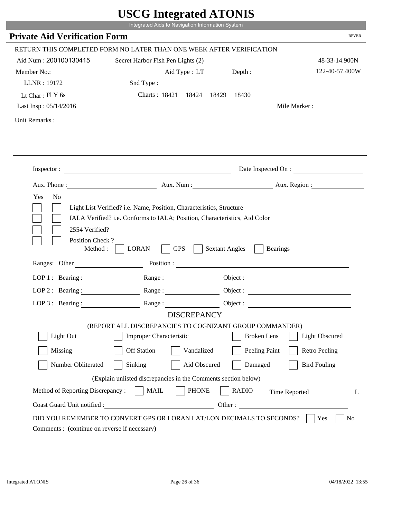|                                             | UDUU IIIIU ARUU ATUNID<br>Integrated Aids to Navigation Information System                                                                         |                                                                                                                                                                                                                                |
|---------------------------------------------|----------------------------------------------------------------------------------------------------------------------------------------------------|--------------------------------------------------------------------------------------------------------------------------------------------------------------------------------------------------------------------------------|
| <b>Private Aid Verification Form</b>        |                                                                                                                                                    | <b>RPVER</b>                                                                                                                                                                                                                   |
|                                             |                                                                                                                                                    |                                                                                                                                                                                                                                |
|                                             | RETURN THIS COMPLETED FORM NO LATER THAN ONE WEEK AFTER VERIFICATION                                                                               |                                                                                                                                                                                                                                |
| Aid Num: 200100130415                       | Secret Harbor Fish Pen Lights (2)                                                                                                                  | 48-33-14.900N                                                                                                                                                                                                                  |
| Member No.:                                 | Aid Type : LT                                                                                                                                      | 122-40-57.400W<br>Depth:                                                                                                                                                                                                       |
| LLNR: 19172                                 | Snd Type:                                                                                                                                          |                                                                                                                                                                                                                                |
| Lt Char: $FIY$ 6s                           | Charts: 18421 18424<br>18429                                                                                                                       | 18430                                                                                                                                                                                                                          |
| Last Insp: 05/14/2016                       |                                                                                                                                                    | Mile Marker:                                                                                                                                                                                                                   |
| Unit Remarks:                               |                                                                                                                                                    |                                                                                                                                                                                                                                |
|                                             |                                                                                                                                                    |                                                                                                                                                                                                                                |
|                                             |                                                                                                                                                    |                                                                                                                                                                                                                                |
|                                             | Inspector:                                                                                                                                         | Date Inspected On :                                                                                                                                                                                                            |
| Aux. Phone :                                |                                                                                                                                                    | Aux. Num: Aux. Region:                                                                                                                                                                                                         |
| Yes<br>N <sub>o</sub><br>2554 Verified?     | Light List Verified? i.e. Name, Position, Characteristics, Structure<br>IALA Verified? i.e. Conforms to IALA; Position, Characteristics, Aid Color |                                                                                                                                                                                                                                |
| Position Check?<br>Method:<br>Ranges: Other | <b>GPS</b><br><b>LORAN</b>                                                                                                                         | <b>Sextant Angles</b><br><b>Bearings</b>                                                                                                                                                                                       |
|                                             |                                                                                                                                                    | Position : The Contract of the Contract of the Contract of the Contract of the Contract of the Contract of the Contract of the Contract of the Contract of the Contract of the Contract of the Contract of the Contract of the |
| LOP 1 : Bearing :                           |                                                                                                                                                    | Object :                                                                                                                                                                                                                       |
| $LOP$ 2 : Bearing :                         | Range :                                                                                                                                            |                                                                                                                                                                                                                                |
| LOP $3$ : Bearing :                         | Range:                                                                                                                                             |                                                                                                                                                                                                                                |
|                                             | <b>DISCREPANCY</b>                                                                                                                                 |                                                                                                                                                                                                                                |
| Light Out                                   | (REPORT ALL DISCREPANCIES TO COGNIZANT GROUP COMMANDER)<br><b>Improper Characteristic</b>                                                          | <b>Broken</b> Lens<br><b>Light Obscured</b>                                                                                                                                                                                    |
|                                             |                                                                                                                                                    |                                                                                                                                                                                                                                |
| Missing                                     | <b>Off Station</b><br>Vandalized                                                                                                                   | Peeling Paint<br><b>Retro Peeling</b>                                                                                                                                                                                          |
| Number Obliterated                          | Sinking<br>Aid Obscured                                                                                                                            | Damaged<br><b>Bird Fouling</b>                                                                                                                                                                                                 |
|                                             | (Explain unlisted discrepancies in the Comments section below)                                                                                     |                                                                                                                                                                                                                                |
| Method of Reporting Discrepancy:            | <b>PHONE</b><br><b>MAIL</b>                                                                                                                        | <b>RADIO</b><br>Time Reported<br>L                                                                                                                                                                                             |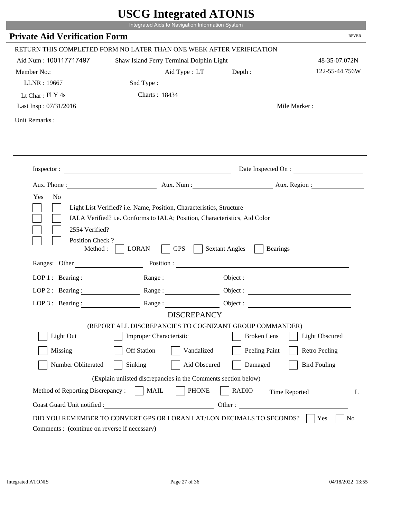|                                                    | $\sim$<br>Integrated Aids to Navigation Information System                                                                                         |                                     |                                 |
|----------------------------------------------------|----------------------------------------------------------------------------------------------------------------------------------------------------|-------------------------------------|---------------------------------|
| <b>Private Aid Verification Form</b>               |                                                                                                                                                    |                                     | <b>RPVER</b>                    |
|                                                    |                                                                                                                                                    |                                     |                                 |
|                                                    | RETURN THIS COMPLETED FORM NO LATER THAN ONE WEEK AFTER VERIFICATION                                                                               |                                     |                                 |
| Aid Num: 100117717497                              | Shaw Island Ferry Terminal Dolphin Light                                                                                                           |                                     | 48-35-07.072N<br>122-55-44.756W |
| Member No.:                                        | Aid Type: LT                                                                                                                                       | Depth:                              |                                 |
| LLNR: 19667                                        | Snd Type:                                                                                                                                          |                                     |                                 |
| Lt Char: Fl Y 4s                                   | Charts: 18434                                                                                                                                      |                                     |                                 |
| Last Insp: 07/31/2016                              |                                                                                                                                                    |                                     | Mile Marker:                    |
| Unit Remarks:                                      |                                                                                                                                                    |                                     |                                 |
|                                                    |                                                                                                                                                    |                                     |                                 |
|                                                    |                                                                                                                                                    |                                     |                                 |
|                                                    | Inspector:                                                                                                                                         |                                     | Date Inspected On :             |
|                                                    | Aux. Phone : Aux. Num : Aux. Num : Aux. Aux. Region :                                                                                              |                                     |                                 |
|                                                    |                                                                                                                                                    |                                     |                                 |
| Yes<br>N <sub>o</sub>                              | Light List Verified? i.e. Name, Position, Characteristics, Structure<br>IALA Verified? i.e. Conforms to IALA; Position, Characteristics, Aid Color |                                     |                                 |
| 2554 Verified?<br>Position Check?<br>Ranges: Other | <b>GPS</b><br>Method :<br><b>LORAN</b>                                                                                                             | <b>Sextant Angles</b><br>Position : | <b>Bearings</b>                 |
|                                                    |                                                                                                                                                    |                                     |                                 |
| LOP 1 : Bearing :                                  | Range:                                                                                                                                             |                                     |                                 |
| $LOP$ 2 : Bearing :                                |                                                                                                                                                    |                                     |                                 |
|                                                    | LOP 3: Bearing : $\qquad \qquad$ Range :                                                                                                           |                                     |                                 |
|                                                    | <b>DISCREPANCY</b>                                                                                                                                 |                                     |                                 |
| Light Out                                          | (REPORT ALL DISCREPANCIES TO COGNIZANT GROUP COMMANDER)                                                                                            | <b>Broken</b> Lens                  |                                 |
|                                                    | Improper Characteristic                                                                                                                            |                                     | <b>Light Obscured</b>           |
| Missing                                            | <b>Off Station</b><br>Vandalized                                                                                                                   | Peeling Paint                       | <b>Retro Peeling</b>            |
| Number Obliterated                                 | Sinking<br>Aid Obscured                                                                                                                            | Damaged                             | <b>Bird Fouling</b>             |
|                                                    | (Explain unlisted discrepancies in the Comments section below)                                                                                     |                                     |                                 |
| Method of Reporting Discrepancy:                   | <b>MAIL</b><br><b>PHONE</b>                                                                                                                        | <b>RADIO</b>                        | Time Reported<br>L              |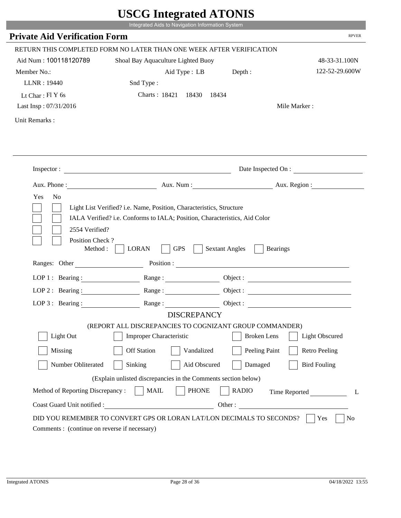|                                                                        | Integrated Aids to Navigation Information System                                                                                                   |                                          |                       |
|------------------------------------------------------------------------|----------------------------------------------------------------------------------------------------------------------------------------------------|------------------------------------------|-----------------------|
| <b>Private Aid Verification Form</b>                                   |                                                                                                                                                    |                                          | <b>RPVER</b>          |
|                                                                        |                                                                                                                                                    |                                          |                       |
|                                                                        | RETURN THIS COMPLETED FORM NO LATER THAN ONE WEEK AFTER VERIFICATION                                                                               |                                          |                       |
| Aid Num: 100118120789                                                  | Shoal Bay Aquaculture Lighted Buoy                                                                                                                 |                                          | 48-33-31.100N         |
| Member No.:                                                            | Aid Type : LB Depth :                                                                                                                              |                                          | 122-52-29.600W        |
| LLNR: 19440                                                            | Snd Type:                                                                                                                                          |                                          |                       |
| Lt Char: $FIY$ 6s                                                      | Charts: 18421 18430 18434                                                                                                                          |                                          |                       |
| Last Insp: 07/31/2016                                                  |                                                                                                                                                    |                                          | Mile Marker:          |
| Unit Remarks:                                                          |                                                                                                                                                    |                                          |                       |
|                                                                        |                                                                                                                                                    |                                          |                       |
|                                                                        | Inspector:                                                                                                                                         |                                          | Date Inspected On :   |
|                                                                        | Aux. Phone: Aux. Num : Aux. Num : Aux. Region :                                                                                                    |                                          |                       |
| Yes<br>N <sub>o</sub>                                                  | Light List Verified? i.e. Name, Position, Characteristics, Structure<br>IALA Verified? i.e. Conforms to IALA; Position, Characteristics, Aid Color |                                          |                       |
| 2554 Verified?<br>Position Check?<br>Method : $\vert$<br>Ranges: Other | <b>LORAN</b><br><b>GPS</b>                                                                                                                         | <b>Sextant Angles</b><br><b>Bearings</b> |                       |
|                                                                        |                                                                                                                                                    |                                          |                       |
|                                                                        | LOP 1: Bearing: $\qquad \qquad$ Range:                                                                                                             |                                          |                       |
|                                                                        | LOP 2 : Bearing : $\qquad \qquad$ Range :                                                                                                          |                                          |                       |
|                                                                        | LOP 3: Bearing: Range: Range: Object:                                                                                                              |                                          |                       |
|                                                                        | <b>DISCREPANCY</b><br>(REPORT ALL DISCREPANCIES TO COGNIZANT GROUP COMMANDER)                                                                      |                                          |                       |
| Light Out                                                              | Improper Characteristic                                                                                                                            | <b>Broken</b> Lens                       | <b>Light Obscured</b> |
| Missing                                                                | <b>Off Station</b><br>Vandalized                                                                                                                   |                                          | <b>Retro Peeling</b>  |
| Number Obliterated                                                     | Sinking<br>Aid Obscured                                                                                                                            | Peeling Paint<br>Damaged                 | <b>Bird Fouling</b>   |
|                                                                        |                                                                                                                                                    |                                          |                       |
|                                                                        | (Explain unlisted discrepancies in the Comments section below)                                                                                     |                                          |                       |
| Method of Reporting Discrepancy:<br>Coast Guard Unit notified :        | <b>MAIL</b><br><b>PHONE</b><br><u> 1990 - Johann Barbara, martxa eta politikar</u>                                                                 | <b>RADIO</b><br>Other:                   | Time Reported<br>L    |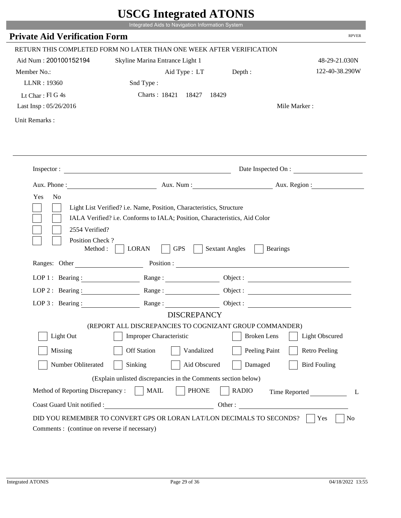|                                             | UDUU IIIIU ARUU ATUNID<br>Integrated Aids to Navigation Information System                                       |                                                                                                                                                                                                                                                                            |                                 |
|---------------------------------------------|------------------------------------------------------------------------------------------------------------------|----------------------------------------------------------------------------------------------------------------------------------------------------------------------------------------------------------------------------------------------------------------------------|---------------------------------|
| <b>Private Aid Verification Form</b>        |                                                                                                                  |                                                                                                                                                                                                                                                                            | <b>RPVER</b>                    |
|                                             |                                                                                                                  |                                                                                                                                                                                                                                                                            |                                 |
| Aid Num: 200100152194                       | RETURN THIS COMPLETED FORM NO LATER THAN ONE WEEK AFTER VERIFICATION                                             |                                                                                                                                                                                                                                                                            |                                 |
|                                             | Skyline Marina Entrance Light 1                                                                                  |                                                                                                                                                                                                                                                                            | 48-29-21.030N<br>122-40-38.290W |
| Member No.:<br>LLNR: 19360                  | Aid Type : LT Depth :                                                                                            |                                                                                                                                                                                                                                                                            |                                 |
|                                             | Snd Type:<br>Charts: 18421 18427<br>18429                                                                        |                                                                                                                                                                                                                                                                            |                                 |
| Lt Char: Fl G 4s<br>Last Insp: 05/26/2016   |                                                                                                                  |                                                                                                                                                                                                                                                                            | Mile Marker:                    |
|                                             |                                                                                                                  |                                                                                                                                                                                                                                                                            |                                 |
| Unit Remarks:                               |                                                                                                                  |                                                                                                                                                                                                                                                                            |                                 |
|                                             |                                                                                                                  |                                                                                                                                                                                                                                                                            |                                 |
|                                             |                                                                                                                  |                                                                                                                                                                                                                                                                            |                                 |
|                                             |                                                                                                                  |                                                                                                                                                                                                                                                                            | Date Inspected On :             |
| Aux. Phone :                                |                                                                                                                  | Aux. Num: Aux. Region:                                                                                                                                                                                                                                                     |                                 |
| Position Check?<br>Method:<br>Ranges: Other | <b>GPS</b><br><b>LORAN</b>                                                                                       | <b>Sextant Angles</b><br><b>Bearings</b><br>Position : The Contract of the Contract of the Contract of the Contract of the Contract of the Contract of the Contract of the Contract of the Contract of the Contract of the Contract of the Contract of the Contract of the |                                 |
| LOP 1 : Bearing :                           |                                                                                                                  | Object :                                                                                                                                                                                                                                                                   |                                 |
| $LOP$ 2 : Bearing :                         | Range :                                                                                                          |                                                                                                                                                                                                                                                                            |                                 |
| LOP $3$ : Bearing :                         | Range:                                                                                                           |                                                                                                                                                                                                                                                                            |                                 |
|                                             | <b>DISCREPANCY</b>                                                                                               |                                                                                                                                                                                                                                                                            |                                 |
|                                             | (REPORT ALL DISCREPANCIES TO COGNIZANT GROUP COMMANDER)                                                          |                                                                                                                                                                                                                                                                            |                                 |
| Light Out                                   |                                                                                                                  |                                                                                                                                                                                                                                                                            |                                 |
|                                             | <b>Improper Characteristic</b>                                                                                   | <b>Broken</b> Lens                                                                                                                                                                                                                                                         | <b>Light Obscured</b>           |
| Missing                                     | <b>Off Station</b><br>Vandalized                                                                                 | Peeling Paint                                                                                                                                                                                                                                                              | <b>Retro Peeling</b>            |
| Number Obliterated                          | Sinking<br>Aid Obscured                                                                                          | Damaged                                                                                                                                                                                                                                                                    | <b>Bird Fouling</b>             |
|                                             |                                                                                                                  |                                                                                                                                                                                                                                                                            |                                 |
|                                             | (Explain unlisted discrepancies in the Comments section below)<br><b>PHONE</b><br><b>MAIL</b>                    | <b>RADIO</b>                                                                                                                                                                                                                                                               |                                 |
| Method of Reporting Discrepancy:            |                                                                                                                  |                                                                                                                                                                                                                                                                            | Time Reported<br>L              |
| Coast Guard Unit notified :                 | <u> 1980 - Johann Barbara, martin d</u><br>DID YOU REMEMBER TO CONVERT GPS OR LORAN LAT/LON DECIMALS TO SECONDS? | Other:                                                                                                                                                                                                                                                                     | Yes<br>No                       |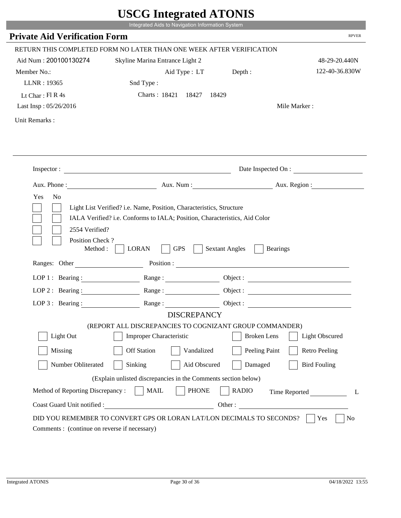|                                                               | UDUU MINGLANU ATUNID                                                 |                                                        |                        |
|---------------------------------------------------------------|----------------------------------------------------------------------|--------------------------------------------------------|------------------------|
|                                                               | Integrated Aids to Navigation Information System                     |                                                        |                        |
| <b>Private Aid Verification Form</b>                          |                                                                      |                                                        | <b>RPVER</b>           |
|                                                               | RETURN THIS COMPLETED FORM NO LATER THAN ONE WEEK AFTER VERIFICATION |                                                        |                        |
| Aid Num: 200100130274                                         | Skyline Marina Entrance Light 2                                      |                                                        | 48-29-20.440N          |
| Member No.:                                                   | Aid Type : LT Depth :                                                |                                                        | 122-40-36.830W         |
| LLNR: 19365                                                   | Snd Type:                                                            |                                                        |                        |
| Lt Char: $FI R 4s$                                            | Charts: 18421 18427                                                  | 18429                                                  |                        |
| Last Insp: 05/26/2016                                         |                                                                      |                                                        | Mile Marker:           |
| Unit Remarks:                                                 |                                                                      |                                                        |                        |
|                                                               |                                                                      |                                                        |                        |
|                                                               | Inspector:                                                           |                                                        | Date Inspected On :    |
|                                                               |                                                                      |                                                        | Aux. Num: Aux. Region: |
| 2554 Verified?<br>Position Check?<br>Method:<br>Ranges: Other | <b>GPS</b><br><b>LORAN</b>                                           | <b>Sextant Angles</b><br><b>Bearings</b><br>Position : |                        |
|                                                               | LOP 1: Bearing : $\qquad \qquad$ Range :                             |                                                        | Object :               |
| LOP $2:$ Bearing :                                            | Range:                                                               |                                                        |                        |
|                                                               |                                                                      |                                                        |                        |
|                                                               | LOP 3: Bearing: Range: Name: Object:<br><b>DISCREPANCY</b>           |                                                        |                        |
|                                                               | (REPORT ALL DISCREPANCIES TO COGNIZANT GROUP COMMANDER)              |                                                        |                        |
| Light Out                                                     | <b>Improper Characteristic</b>                                       | <b>Broken</b> Lens                                     | <b>Light Obscured</b>  |
| Missing                                                       | <b>Off Station</b><br>Vandalized                                     | Peeling Paint                                          | <b>Retro Peeling</b>   |
| Number Obliterated                                            | Sinking<br>Aid Obscured                                              | Damaged                                                | <b>Bird Fouling</b>    |
|                                                               | (Explain unlisted discrepancies in the Comments section below)       |                                                        |                        |
| Method of Reporting Discrepancy:                              | <b>PHONE</b><br><b>MAIL</b>                                          | <b>RADIO</b>                                           | Time Reported<br>L     |
|                                                               |                                                                      |                                                        |                        |
| Coast Guard Unit notified :                                   | <u> 1980 - Johann Barbara, martin d</u>                              | Other :                                                |                        |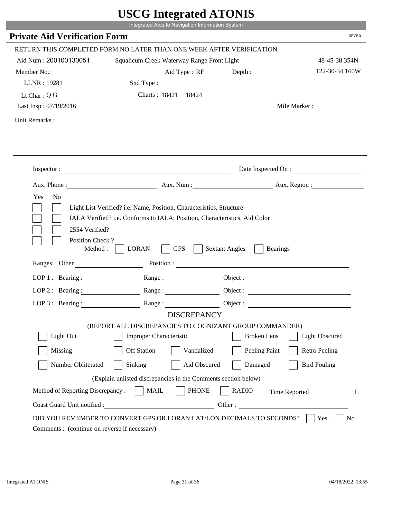|                                                                | Integrated Aids to Navigation Information System                                                                                                   |                                     |                          |
|----------------------------------------------------------------|----------------------------------------------------------------------------------------------------------------------------------------------------|-------------------------------------|--------------------------|
| <b>Private Aid Verification Form</b>                           |                                                                                                                                                    |                                     | <b>RPVER</b>             |
|                                                                | RETURN THIS COMPLETED FORM NO LATER THAN ONE WEEK AFTER VERIFICATION                                                                               |                                     |                          |
| Aid Num: 200100130051                                          | Squalicum Creek Waterway Range Front Light                                                                                                         |                                     | 48-45-38.354N            |
| Member No.:                                                    | Aid Type: RF                                                                                                                                       | Depth:                              | 122-30-34.160W           |
| LLNR: 19281                                                    | Snd Type:                                                                                                                                          |                                     |                          |
| Lt Char: $Q$ G                                                 | Charts: 18421 18424                                                                                                                                |                                     |                          |
| Last Insp: 07/19/2016                                          |                                                                                                                                                    |                                     | Mile Marker:             |
| Unit Remarks:                                                  |                                                                                                                                                    |                                     |                          |
|                                                                | Inspector:                                                                                                                                         |                                     | Date Inspected On :      |
| Aux. Phone :                                                   |                                                                                                                                                    |                                     | Aux. Num : Aux. Region : |
|                                                                | Light List Verified? i.e. Name, Position, Characteristics, Structure<br>IALA Verified? i.e. Conforms to IALA; Position, Characteristics, Aid Color |                                     |                          |
| 2554 Verified?<br>Position Check?<br>Method :<br>Ranges: Other | <b>GPS</b><br><b>LORAN</b>                                                                                                                         | <b>Sextant Angles</b><br>Position : | <b>Bearings</b>          |
|                                                                |                                                                                                                                                    |                                     |                          |
|                                                                | LOP 1: Bearing: $\qquad \qquad$ Range:                                                                                                             |                                     |                          |
|                                                                | LOP 2 : Bearing : $\qquad \qquad$ Range :                                                                                                          |                                     |                          |
| LOP $3:$ Bearing :                                             | Range:                                                                                                                                             |                                     | Object :                 |
|                                                                | <b>DISCREPANCY</b><br>(REPORT ALL DISCREPANCIES TO COGNIZANT GROUP COMMANDER)                                                                      |                                     |                          |
| Light Out                                                      | Improper Characteristic                                                                                                                            | <b>Broken</b> Lens                  | <b>Light Obscured</b>    |
| Missing                                                        | <b>Off Station</b><br>Vandalized                                                                                                                   | Peeling Paint                       | <b>Retro Peeling</b>     |
| Number Obliterated                                             | Aid Obscured<br>Sinking                                                                                                                            | Damaged                             | <b>Bird Fouling</b>      |
|                                                                | (Explain unlisted discrepancies in the Comments section below)                                                                                     |                                     |                          |
| Method of Reporting Discrepancy:                               | <b>PHONE</b><br><b>MAIL</b>                                                                                                                        | <b>RADIO</b>                        |                          |
| Coast Guard Unit notified :                                    | Other:                                                                                                                                             |                                     | Time Reported            |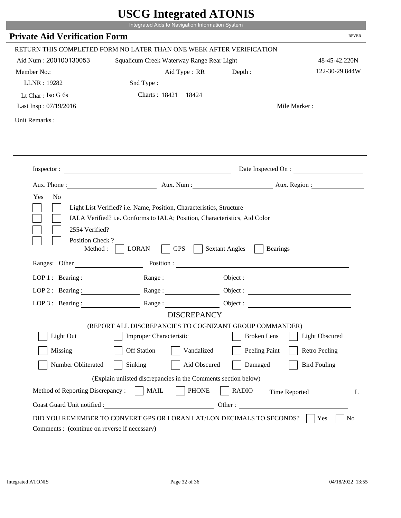|                                                                 | Integrated Aids to Navigation Information System                                                                                                   |                                                        |                       |
|-----------------------------------------------------------------|----------------------------------------------------------------------------------------------------------------------------------------------------|--------------------------------------------------------|-----------------------|
| <b>Private Aid Verification Form</b>                            |                                                                                                                                                    |                                                        | <b>RPVER</b>          |
|                                                                 | RETURN THIS COMPLETED FORM NO LATER THAN ONE WEEK AFTER VERIFICATION                                                                               |                                                        |                       |
| Aid Num: 200100130053                                           | Squalicum Creek Waterway Range Rear Light                                                                                                          |                                                        | 48-45-42.220N         |
| Member No.:                                                     | Aid Type : RR                                                                                                                                      | Depth:                                                 | 122-30-29.844W        |
| LLNR: 19282                                                     | Snd Type:                                                                                                                                          |                                                        |                       |
| Lt Char: Iso G 6s                                               | Charts: 18421 18424                                                                                                                                |                                                        |                       |
| Last Insp: 07/19/2016                                           |                                                                                                                                                    |                                                        | Mile Marker:          |
| Unit Remarks:                                                   |                                                                                                                                                    |                                                        |                       |
|                                                                 |                                                                                                                                                    |                                                        |                       |
|                                                                 |                                                                                                                                                    |                                                        | Date Inspected On :   |
|                                                                 | Aux. Phone : Aux. Num : Aux. Num : Aux. Aux. Region :                                                                                              |                                                        |                       |
| Yes<br>N <sub>o</sub><br>2554 Verified?                         | Light List Verified? i.e. Name, Position, Characteristics, Structure<br>IALA Verified? i.e. Conforms to IALA; Position, Characteristics, Aid Color |                                                        |                       |
| Position Check?<br>Method :<br>Ranges: Other                    | <b>GPS</b><br><b>LORAN</b>                                                                                                                         | <b>Sextant Angles</b><br><b>Bearings</b><br>Position : |                       |
|                                                                 | Range:                                                                                                                                             |                                                        |                       |
| LOP 1 : Bearing :                                               |                                                                                                                                                    |                                                        |                       |
| $LOP$ 2 : Bearing :                                             |                                                                                                                                                    |                                                        |                       |
|                                                                 | LOP 3: Bearing : $\qquad \qquad$ Range :<br><b>DISCREPANCY</b>                                                                                     |                                                        |                       |
|                                                                 | (REPORT ALL DISCREPANCIES TO COGNIZANT GROUP COMMANDER)                                                                                            |                                                        |                       |
| Light Out                                                       | Improper Characteristic                                                                                                                            | <b>Broken</b> Lens                                     | <b>Light Obscured</b> |
| Missing                                                         | <b>Off Station</b><br>Vandalized                                                                                                                   | Peeling Paint                                          | <b>Retro Peeling</b>  |
| Number Obliterated                                              | Sinking<br>Aid Obscured                                                                                                                            | Damaged                                                | <b>Bird Fouling</b>   |
|                                                                 |                                                                                                                                                    |                                                        |                       |
|                                                                 | (Explain unlisted discrepancies in the Comments section below)                                                                                     |                                                        |                       |
| Method of Reporting Discrepancy:<br>Coast Guard Unit notified : | <b>MAIL</b><br><b>PHONE</b>                                                                                                                        | <b>RADIO</b><br>Other:                                 | Time Reported<br>L    |

T.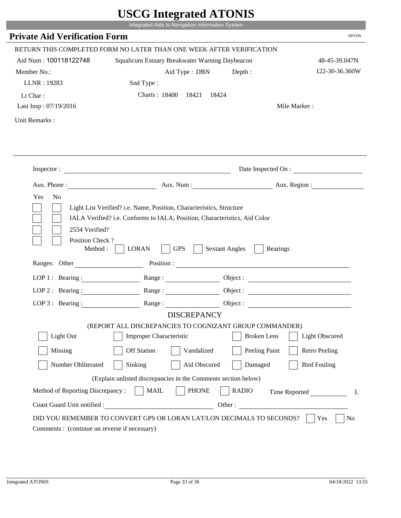|                                              | Integrated Aids to Navigation Information System                              |                                                        |                       |
|----------------------------------------------|-------------------------------------------------------------------------------|--------------------------------------------------------|-----------------------|
| <b>Private Aid Verification Form</b>         |                                                                               |                                                        | <b>RPVER</b>          |
|                                              | RETURN THIS COMPLETED FORM NO LATER THAN ONE WEEK AFTER VERIFICATION          |                                                        |                       |
| Aid Num: 100118122748                        | Squalicum Estuary Breakwater Warning Daybeacon                                |                                                        | 48-45-39.047N         |
| Member No.:                                  | Aid Type : DBN                                                                | Depth:                                                 | 122-30-36.360W        |
| LLNR: 19283                                  | Snd Type:                                                                     |                                                        |                       |
| Lt Char:                                     | Charts: 18400 18421 18424                                                     |                                                        |                       |
| Last Insp: 07/19/2016                        |                                                                               |                                                        | Mile Marker:          |
| Unit Remarks:                                |                                                                               |                                                        |                       |
|                                              |                                                                               |                                                        |                       |
|                                              |                                                                               |                                                        |                       |
|                                              |                                                                               |                                                        | Date Inspected On :   |
|                                              | Aux. Phone : Aux. Num : Aux. Num : Aux. Aux. Region :                         |                                                        |                       |
| 2554 Verified?                               | IALA Verified? i.e. Conforms to IALA; Position, Characteristics, Aid Color    |                                                        |                       |
| Position Check?<br>Method :<br>Ranges: Other | <b>GPS</b><br><b>LORAN</b>                                                    | <b>Sextant Angles</b><br><b>Bearings</b><br>Position : |                       |
|                                              |                                                                               |                                                        |                       |
| LOP 1 : Bearing :                            | Range:                                                                        |                                                        |                       |
| $LOP$ 2 : Bearing :                          |                                                                               |                                                        |                       |
|                                              | LOP 3: Bearing : $\qquad \qquad$ Range :                                      |                                                        | Object:               |
|                                              | <b>DISCREPANCY</b><br>(REPORT ALL DISCREPANCIES TO COGNIZANT GROUP COMMANDER) |                                                        |                       |
| Light Out                                    | Improper Characteristic                                                       | <b>Broken</b> Lens                                     | <b>Light Obscured</b> |
| Missing                                      | <b>Off Station</b><br>Vandalized                                              | Peeling Paint                                          | <b>Retro Peeling</b>  |
| Number Obliterated                           | Sinking<br>Aid Obscured                                                       | Damaged                                                | <b>Bird Fouling</b>   |
|                                              | (Explain unlisted discrepancies in the Comments section below)                |                                                        |                       |
| Method of Reporting Discrepancy:             | <b>MAIL</b><br><b>PHONE</b>                                                   | <b>RADIO</b>                                           |                       |
| Coast Guard Unit notified :                  |                                                                               | Other:                                                 | Time Reported<br>L    |

i i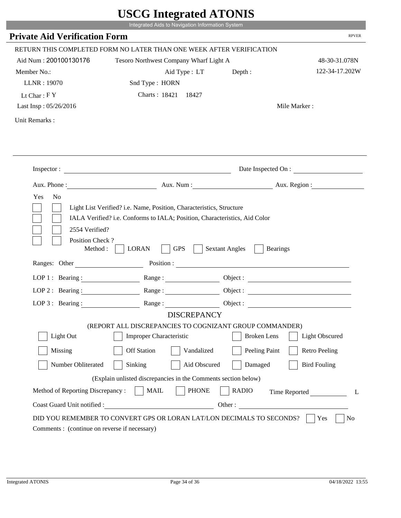|                                      | UDUU IIIIU ARUU ATUNID<br>Integrated Aids to Navigation Information System                                                                         |                                          |                          |
|--------------------------------------|----------------------------------------------------------------------------------------------------------------------------------------------------|------------------------------------------|--------------------------|
| <b>Private Aid Verification Form</b> |                                                                                                                                                    |                                          | <b>RPVER</b>             |
|                                      |                                                                                                                                                    |                                          |                          |
|                                      | RETURN THIS COMPLETED FORM NO LATER THAN ONE WEEK AFTER VERIFICATION                                                                               |                                          |                          |
| Aid Num: 200100130176                | Tesoro Northwest Company Wharf Light A                                                                                                             |                                          | 48-30-31.078N            |
| Member No.:                          | Aid Type : LT                                                                                                                                      | Depth:                                   | 122-34-17.202W           |
| LLNR: 19070                          | Snd Type: HORN                                                                                                                                     |                                          |                          |
| Lt Char: $FY$                        | Charts: 18421 18427                                                                                                                                |                                          |                          |
| Last Insp: 05/26/2016                |                                                                                                                                                    |                                          | Mile Marker:             |
| Unit Remarks:                        |                                                                                                                                                    |                                          |                          |
|                                      |                                                                                                                                                    |                                          |                          |
|                                      | Inspector:                                                                                                                                         |                                          | Date Inspected On :      |
| Aux. Phone :                         |                                                                                                                                                    |                                          | Aux. Num : Aux. Region : |
| 2554 Verified?                       | Light List Verified? i.e. Name, Position, Characteristics, Structure<br>IALA Verified? i.e. Conforms to IALA; Position, Characteristics, Aid Color |                                          |                          |
| Position Check?<br>Method:           | <b>GPS</b><br><b>LORAN</b>                                                                                                                         | <b>Sextant Angles</b><br><b>Bearings</b> |                          |
| Ranges: Other                        |                                                                                                                                                    | Position :                               |                          |
| LOP 1 : Bearing :                    |                                                                                                                                                    |                                          |                          |
| $LOP$ 2 : Bearing :                  | Range :                                                                                                                                            |                                          |                          |
| LOP $3:$ Bearing :                   | Range:                                                                                                                                             |                                          |                          |
|                                      | <b>DISCREPANCY</b>                                                                                                                                 |                                          |                          |
|                                      | (REPORT ALL DISCREPANCIES TO COGNIZANT GROUP COMMANDER)                                                                                            |                                          |                          |
| Light Out                            | <b>Improper Characteristic</b>                                                                                                                     | <b>Broken</b> Lens                       | <b>Light Obscured</b>    |
| Missing                              | <b>Off Station</b><br>Vandalized                                                                                                                   | Peeling Paint                            | <b>Retro Peeling</b>     |
| Number Obliterated                   | Sinking<br>Aid Obscured                                                                                                                            | Damaged                                  | <b>Bird Fouling</b>      |
|                                      | (Explain unlisted discrepancies in the Comments section below)                                                                                     |                                          |                          |
| Method of Reporting Discrepancy:     | <b>PHONE</b><br><b>MAIL</b>                                                                                                                        | <b>RADIO</b>                             | Time Reported<br>L       |

.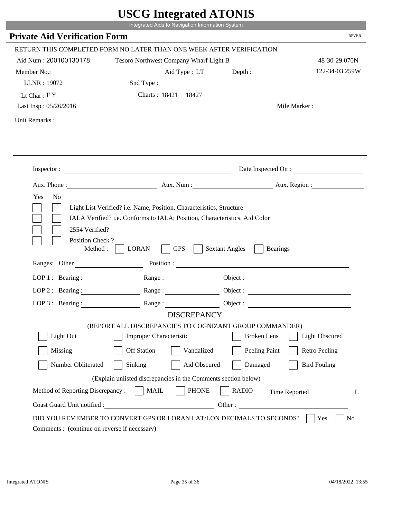|                                              | Integrated Aids to Navigation Information System                                                                                                                                                                                                                                                                                                               |                          |                                             |
|----------------------------------------------|----------------------------------------------------------------------------------------------------------------------------------------------------------------------------------------------------------------------------------------------------------------------------------------------------------------------------------------------------------------|--------------------------|---------------------------------------------|
| <b>Private Aid Verification Form</b>         |                                                                                                                                                                                                                                                                                                                                                                |                          | <b>RPVER</b>                                |
|                                              |                                                                                                                                                                                                                                                                                                                                                                |                          |                                             |
|                                              | RETURN THIS COMPLETED FORM NO LATER THAN ONE WEEK AFTER VERIFICATION                                                                                                                                                                                                                                                                                           |                          |                                             |
| Aid Num: 200100130178                        | Tesoro Northwest Company Wharf Light B                                                                                                                                                                                                                                                                                                                         |                          | 48-30-29.070N                               |
| Member No.:                                  | Aid Type : LT                                                                                                                                                                                                                                                                                                                                                  | Depth:                   | 122-34-03.259W                              |
| LLNR: 19072                                  | Snd Type:                                                                                                                                                                                                                                                                                                                                                      |                          |                                             |
| Lt Char: $FY$                                | Charts: 18421 18427                                                                                                                                                                                                                                                                                                                                            |                          |                                             |
| Last Insp: 05/26/2016                        |                                                                                                                                                                                                                                                                                                                                                                |                          | Mile Marker:                                |
| Unit Remarks:                                |                                                                                                                                                                                                                                                                                                                                                                |                          |                                             |
|                                              |                                                                                                                                                                                                                                                                                                                                                                |                          |                                             |
|                                              | Inspector:                                                                                                                                                                                                                                                                                                                                                     |                          | Date Inspected On :                         |
|                                              |                                                                                                                                                                                                                                                                                                                                                                |                          | Aux. Num: Aux. Region:                      |
|                                              |                                                                                                                                                                                                                                                                                                                                                                |                          |                                             |
| 2554 Verified?<br>Position Check?<br>Method: | <b>GPS</b><br><b>LORAN</b>                                                                                                                                                                                                                                                                                                                                     | <b>Sextant Angles</b>    | <b>Bearings</b>                             |
| Ranges: Other                                |                                                                                                                                                                                                                                                                                                                                                                | Position :               |                                             |
|                                              | LOP 1: Bearing: Range:                                                                                                                                                                                                                                                                                                                                         |                          |                                             |
| LOP $2:$ Bearing :                           | $Range: \begin{tabular}{ c c c } \hline \rule{0.3cm}{.03cm} \rule{0.3cm}{.03cm} \rule{0.3cm}{.03cm} \rule{0.3cm}{.03cm} \rule{0.3cm}{.03cm} \rule{0.3cm}{.03cm} \rule{0.3cm}{.03cm} \rule{0.3cm}{.03cm} \rule{0.3cm}{.03cm} \rule{0.3cm}{.03cm} \rule{0.3cm}{.03cm} \rule{0.3cm}{.03cm} \rule{0.3cm}{.03cm} \rule{0.3cm}{.03cm} \rule{0.3cm}{.03cm} \rule{0.3$ |                          |                                             |
|                                              | LOP 3: Bearing: Range: Object:                                                                                                                                                                                                                                                                                                                                 |                          |                                             |
|                                              | <b>DISCREPANCY</b>                                                                                                                                                                                                                                                                                                                                             |                          |                                             |
| Light Out                                    | (REPORT ALL DISCREPANCIES TO COGNIZANT GROUP COMMANDER)<br><b>Improper Characteristic</b>                                                                                                                                                                                                                                                                      | <b>Broken</b> Lens       | <b>Light Obscured</b>                       |
|                                              | <b>Off Station</b><br>Vandalized                                                                                                                                                                                                                                                                                                                               |                          |                                             |
| Missing<br>Number Obliterated                | Sinking<br>Aid Obscured                                                                                                                                                                                                                                                                                                                                        | Peeling Paint<br>Damaged | <b>Retro Peeling</b><br><b>Bird Fouling</b> |
|                                              |                                                                                                                                                                                                                                                                                                                                                                |                          |                                             |
| Method of Reporting Discrepancy:             | (Explain unlisted discrepancies in the Comments section below)<br><b>PHONE</b><br><b>MAIL</b>                                                                                                                                                                                                                                                                  | <b>RADIO</b>             |                                             |
| Coast Guard Unit notified :                  | <u> 1980 - Johann Barbara, martin d</u>                                                                                                                                                                                                                                                                                                                        |                          | Time Reported<br>L<br>Other:                |

P.